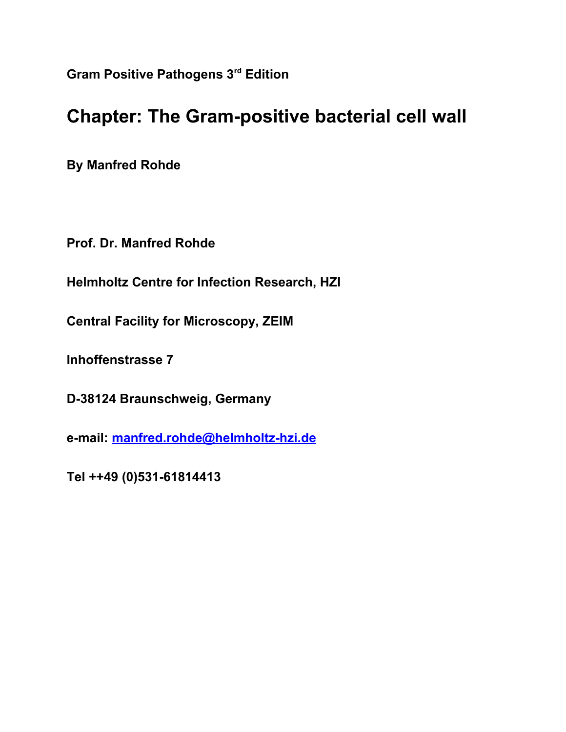**Gram Positive Pathogens 3rd Edition** 

## **Chapter: The Gram-positive bacterial cell wall**

**By Manfred Rohde**

**Prof. Dr. Manfred Rohde**

**Helmholtz Centre for Infection Research, HZI**

**Central Facility for Microscopy, ZEIM**

**Inhoffenstrasse 7**

**D-38124 Braunschweig, Germany**

**e-mail: [manfred.rohde@helmholtz-hzi.de](mailto:manfred.rohde@helmholtz-hzi.de)**

**Tel ++49 (0)531-61814413**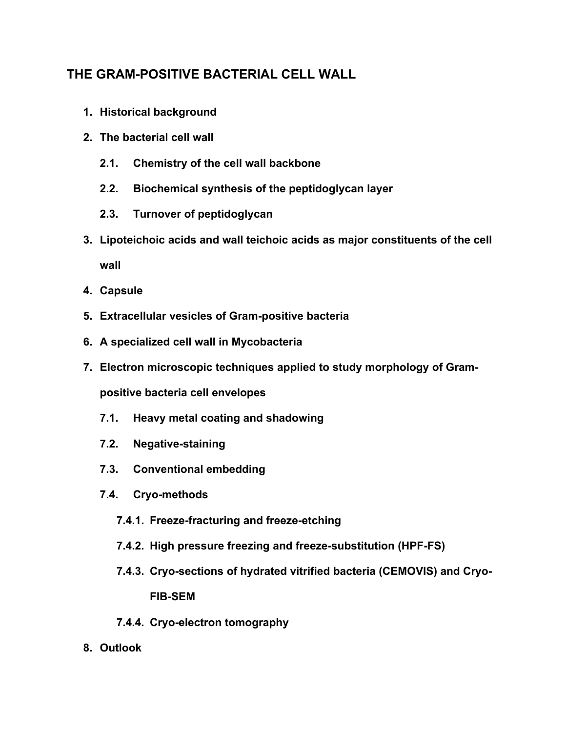### **THE GRAM-POSITIVE BACTERIAL CELL WALL**

- **1. Historical background**
- **2. The bacterial cell wall**
	- **2.1. Chemistry of the cell wall backbone**
	- **2.2. Biochemical synthesis of the peptidoglycan layer**
	- **2.3. Turnover of peptidoglycan**
- **3. Lipoteichoic acids and wall teichoic acids as major constituents of the cell wall**
- **4. Capsule**
- **5. Extracellular vesicles of Gram-positive bacteria**
- **6. A specialized cell wall in Mycobacteria**
- **7. Electron microscopic techniques applied to study morphology of Grampositive bacteria cell envelopes**
	- **7.1. Heavy metal coating and shadowing**
	- **7.2. Negative-staining**
	- **7.3. Conventional embedding**
	- **7.4. Cryo-methods**
		- **7.4.1. Freeze-fracturing and freeze-etching**
		- **7.4.2. High pressure freezing and freeze-substitution (HPF-FS)**
		- **7.4.3. Cryo-sections of hydrated vitrified bacteria (CEMOVIS) and Cryo-**

**FIB-SEM**

- **7.4.4. Cryo-electron tomography**
- **8. Outlook**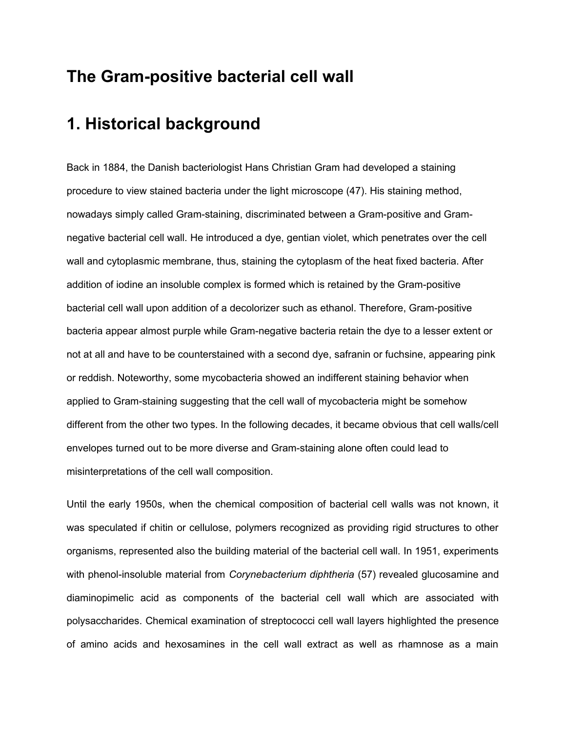### **The Gram-positive bacterial cell wall**

### **1. Historical background**

Back in 1884, the Danish bacteriologist Hans Christian Gram had developed a staining procedure to view stained bacteria under the light microscope (47). His staining method, nowadays simply called Gram-staining, discriminated between a Gram-positive and Gramnegative bacterial cell wall. He introduced a dye, gentian violet, which penetrates over the cell wall and cytoplasmic membrane, thus, staining the cytoplasm of the heat fixed bacteria. After addition of iodine an insoluble complex is formed which is retained by the Gram-positive bacterial cell wall upon addition of a decolorizer such as ethanol. Therefore, Gram-positive bacteria appear almost purple while Gram-negative bacteria retain the dye to a lesser extent or not at all and have to be counterstained with a second dye, safranin or fuchsine, appearing pink or reddish. Noteworthy, some mycobacteria showed an indifferent staining behavior when applied to Gram-staining suggesting that the cell wall of mycobacteria might be somehow different from the other two types. In the following decades, it became obvious that cell walls/cell envelopes turned out to be more diverse and Gram-staining alone often could lead to misinterpretations of the cell wall composition.

Until the early 1950s, when the chemical composition of bacterial cell walls was not known, it was speculated if chitin or cellulose, polymers recognized as providing rigid structures to other organisms, represented also the building material of the bacterial cell wall. In 1951, experiments with phenol-insoluble material from *Corynebacterium diphtheria* (57) revealed glucosamine and diaminopimelic acid as components of the bacterial cell wall which are associated with polysaccharides. Chemical examination of streptococci cell wall layers highlighted the presence of amino acids and hexosamines in the cell wall extract as well as rhamnose as a main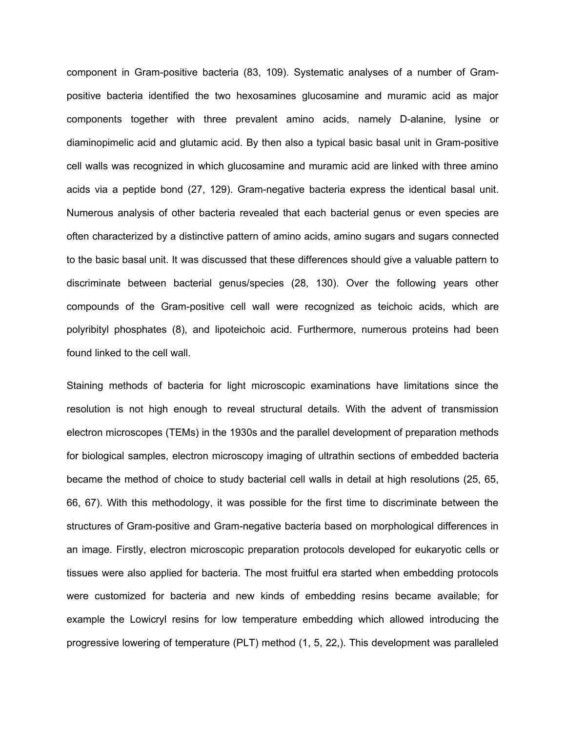component in Gram-positive bacteria (83, 109). Systematic analyses of a number of Grampositive bacteria identified the two hexosamines glucosamine and muramic acid as major components together with three prevalent amino acids, namely D-alanine, lysine or diaminopimelic acid and glutamic acid. By then also a typical basic basal unit in Gram-positive cell walls was recognized in which glucosamine and muramic acid are linked with three amino acids via a peptide bond (27, 129). Gram-negative bacteria express the identical basal unit. Numerous analysis of other bacteria revealed that each bacterial genus or even species are often characterized by a distinctive pattern of amino acids, amino sugars and sugars connected to the basic basal unit. It was discussed that these differences should give a valuable pattern to discriminate between bacterial genus/species (28, 130). Over the following years other compounds of the Gram-positive cell wall were recognized as teichoic acids, which are polyribityl phosphates (8), and lipoteichoic acid. Furthermore, numerous proteins had been found linked to the cell wall.

Staining methods of bacteria for light microscopic examinations have limitations since the resolution is not high enough to reveal structural details. With the advent of transmission electron microscopes (TEMs) in the 1930s and the parallel development of preparation methods for biological samples, electron microscopy imaging of ultrathin sections of embedded bacteria became the method of choice to study bacterial cell walls in detail at high resolutions (25, 65, 66, 67). With this methodology, it was possible for the first time to discriminate between the structures of Gram-positive and Gram-negative bacteria based on morphological differences in an image. Firstly, electron microscopic preparation protocols developed for eukaryotic cells or tissues were also applied for bacteria. The most fruitful era started when embedding protocols were customized for bacteria and new kinds of embedding resins became available; for example the Lowicryl resins for low temperature embedding which allowed introducing the progressive lowering of temperature (PLT) method (1, 5, 22,). This development was paralleled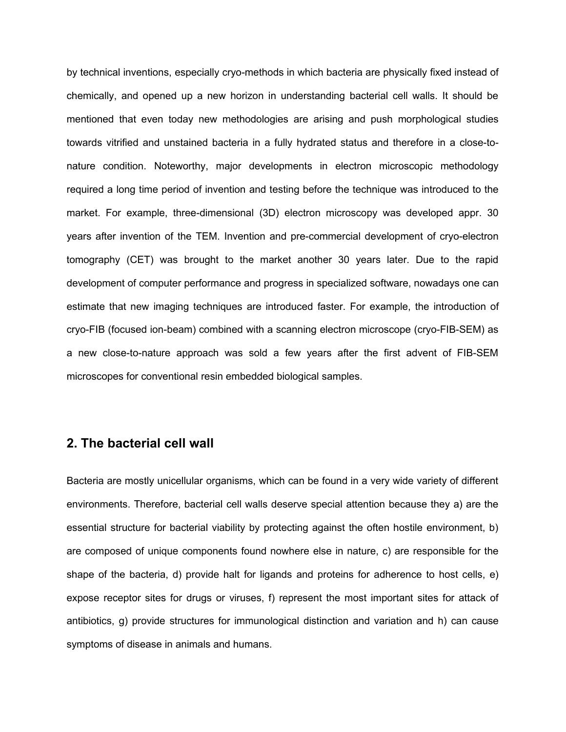by technical inventions, especially cryo-methods in which bacteria are physically fixed instead of chemically, and opened up a new horizon in understanding bacterial cell walls. It should be mentioned that even today new methodologies are arising and push morphological studies towards vitrified and unstained bacteria in a fully hydrated status and therefore in a close-tonature condition. Noteworthy, major developments in electron microscopic methodology required a long time period of invention and testing before the technique was introduced to the market. For example, three-dimensional (3D) electron microscopy was developed appr. 30 years after invention of the TEM. Invention and pre-commercial development of cryo-electron tomography (CET) was brought to the market another 30 years later. Due to the rapid development of computer performance and progress in specialized software, nowadays one can estimate that new imaging techniques are introduced faster. For example, the introduction of cryo-FIB (focused ion-beam) combined with a scanning electron microscope (cryo-FIB-SEM) as a new close-to-nature approach was sold a few years after the first advent of FIB-SEM microscopes for conventional resin embedded biological samples.

#### **2. The bacterial cell wall**

Bacteria are mostly unicellular organisms, which can be found in a very wide variety of different environments. Therefore, bacterial cell walls deserve special attention because they a) are the essential structure for bacterial viability by protecting against the often hostile environment, b) are composed of unique components found nowhere else in nature, c) are responsible for the shape of the bacteria, d) provide halt for ligands and proteins for adherence to host cells, e) expose receptor sites for drugs or viruses, f) represent the most important sites for attack of antibiotics, g) provide structures for immunological distinction and variation and h) can cause symptoms of disease in animals and humans.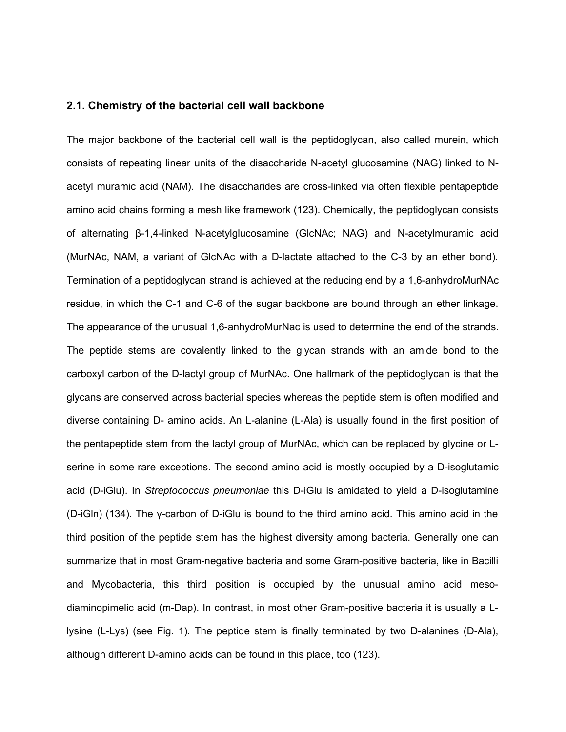#### **2.1. Chemistry of the bacterial cell wall backbone**

The major backbone of the bacterial cell wall is the peptidoglycan, also called murein, which consists of repeating linear units of the disaccharide N-acetyl glucosamine (NAG) linked to Nacetyl muramic acid (NAM). The disaccharides are cross-linked via often flexible pentapeptide amino acid chains forming a mesh like framework (123). Chemically, the peptidoglycan consists of alternating β-1,4-linked N-acetylglucosamine (GlcNAc; NAG) and N-acetylmuramic acid (MurNAc, NAM, a variant of GlcNAc with a D-lactate attached to the C-3 by an ether bond). Termination of a peptidoglycan strand is achieved at the reducing end by a 1,6-anhydroMurNAc residue, in which the C-1 and C-6 of the sugar backbone are bound through an ether linkage. The appearance of the unusual 1,6-anhydroMurNac is used to determine the end of the strands. The peptide stems are covalently linked to the glycan strands with an amide bond to the carboxyl carbon of the D-lactyl group of MurNAc. One hallmark of the peptidoglycan is that the glycans are conserved across bacterial species whereas the peptide stem is often modified and diverse containing D- amino acids. An L-alanine (L-Ala) is usually found in the first position of the pentapeptide stem from the lactyl group of MurNAc, which can be replaced by glycine or Lserine in some rare exceptions. The second amino acid is mostly occupied by a D-isoglutamic acid (D-iGlu). In *Streptococcus pneumoniae* this D-iGlu is amidated to yield a D-isoglutamine (D-iGln) (134). The γ-carbon of D-iGlu is bound to the third amino acid. This amino acid in the third position of the peptide stem has the highest diversity among bacteria. Generally one can summarize that in most Gram-negative bacteria and some Gram-positive bacteria, like in Bacilli and Mycobacteria, this third position is occupied by the unusual amino acid mesodiaminopimelic acid (m-Dap). In contrast, in most other Gram-positive bacteria it is usually a Llysine (L-Lys) (see Fig. 1). The peptide stem is finally terminated by two D-alanines (D-Ala), although different D-amino acids can be found in this place, too (123).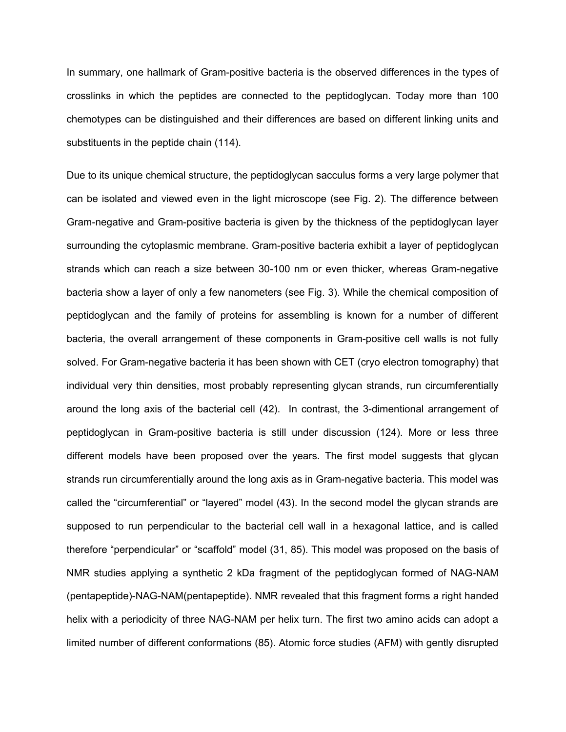In summary, one hallmark of Gram-positive bacteria is the observed differences in the types of crosslinks in which the peptides are connected to the peptidoglycan. Today more than 100 chemotypes can be distinguished and their differences are based on different linking units and substituents in the peptide chain (114).

Due to its unique chemical structure, the peptidoglycan sacculus forms a very large polymer that can be isolated and viewed even in the light microscope (see Fig. 2). The difference between Gram-negative and Gram-positive bacteria is given by the thickness of the peptidoglycan layer surrounding the cytoplasmic membrane. Gram-positive bacteria exhibit a layer of peptidoglycan strands which can reach a size between 30-100 nm or even thicker, whereas Gram-negative bacteria show a layer of only a few nanometers (see Fig. 3). While the chemical composition of peptidoglycan and the family of proteins for assembling is known for a number of different bacteria, the overall arrangement of these components in Gram-positive cell walls is not fully solved. For Gram-negative bacteria it has been shown with CET (cryo electron tomography) that individual very thin densities, most probably representing glycan strands, run circumferentially around the long axis of the bacterial cell (42). In contrast, the 3-dimentional arrangement of peptidoglycan in Gram-positive bacteria is still under discussion (124). More or less three different models have been proposed over the years. The first model suggests that glycan strands run circumferentially around the long axis as in Gram-negative bacteria. This model was called the "circumferential" or "layered" model (43). In the second model the glycan strands are supposed to run perpendicular to the bacterial cell wall in a hexagonal lattice, and is called therefore "perpendicular" or "scaffold" model (31, 85). This model was proposed on the basis of NMR studies applying a synthetic 2 kDa fragment of the peptidoglycan formed of NAG-NAM (pentapeptide)-NAG-NAM(pentapeptide). NMR revealed that this fragment forms a right handed helix with a periodicity of three NAG-NAM per helix turn. The first two amino acids can adopt a limited number of different conformations (85). Atomic force studies (AFM) with gently disrupted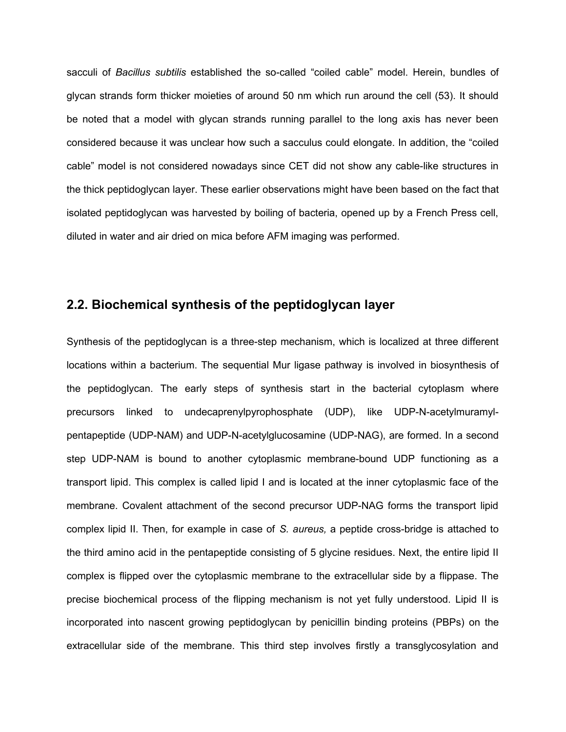sacculi of *Bacillus subtilis* established the so-called "coiled cable" model. Herein, bundles of glycan strands form thicker moieties of around 50 nm which run around the cell (53). It should be noted that a model with glycan strands running parallel to the long axis has never been considered because it was unclear how such a sacculus could elongate. In addition, the "coiled cable" model is not considered nowadays since CET did not show any cable-like structures in the thick peptidoglycan layer. These earlier observations might have been based on the fact that isolated peptidoglycan was harvested by boiling of bacteria, opened up by a French Press cell, diluted in water and air dried on mica before AFM imaging was performed.

#### **2.2. Biochemical synthesis of the peptidoglycan layer**

Synthesis of the peptidoglycan is a three-step mechanism, which is localized at three different locations within a bacterium. The sequential Mur ligase pathway is involved in biosynthesis of the peptidoglycan. The early steps of synthesis start in the bacterial cytoplasm where precursors linked to undecaprenylpyrophosphate (UDP), like UDP-N-acetylmuramylpentapeptide (UDP-NAM) and UDP-N-acetylglucosamine (UDP-NAG), are formed. In a second step UDP-NAM is bound to another cytoplasmic membrane-bound UDP functioning as a transport lipid. This complex is called lipid I and is located at the inner cytoplasmic face of the membrane. Covalent attachment of the second precursor UDP-NAG forms the transport lipid complex lipid II. Then, for example in case of *S. aureus,* a peptide cross-bridge is attached to the third amino acid in the pentapeptide consisting of 5 glycine residues. Next, the entire lipid II complex is flipped over the cytoplasmic membrane to the extracellular side by a flippase. The precise biochemical process of the flipping mechanism is not yet fully understood. Lipid II is incorporated into nascent growing peptidoglycan by penicillin binding proteins (PBPs) on the extracellular side of the membrane. This third step involves firstly a transglycosylation and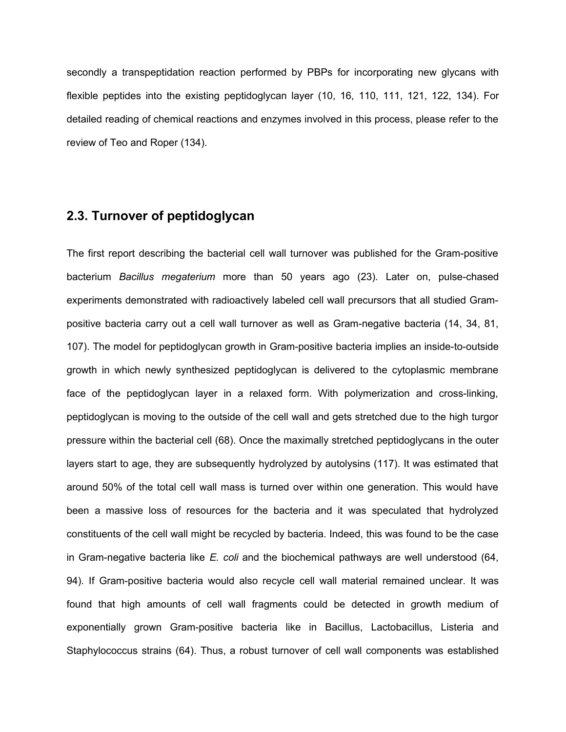secondly a transpeptidation reaction performed by PBPs for incorporating new glycans with flexible peptides into the existing peptidoglycan layer (10, 16, 110, 111, 121, 122, 134). For detailed reading of chemical reactions and enzymes involved in this process, please refer to the review of Teo and Roper (134).

### **2.3. Turnover of peptidoglycan**

The first report describing the bacterial cell wall turnover was published for the Gram-positive bacterium *Bacillus megaterium* more than 50 years ago (23). Later on, pulse-chased experiments demonstrated with radioactively labeled cell wall precursors that all studied Grampositive bacteria carry out a cell wall turnover as well as Gram-negative bacteria (14, 34, 81, 107). The model for peptidoglycan growth in Gram-positive bacteria implies an inside-to-outside growth in which newly synthesized peptidoglycan is delivered to the cytoplasmic membrane face of the peptidoglycan layer in a relaxed form. With polymerization and cross-linking, peptidoglycan is moving to the outside of the cell wall and gets stretched due to the high turgor pressure within the bacterial cell (68). Once the maximally stretched peptidoglycans in the outer layers start to age, they are subsequently hydrolyzed by autolysins (117). It was estimated that around 50% of the total cell wall mass is turned over within one generation. This would have been a massive loss of resources for the bacteria and it was speculated that hydrolyzed constituents of the cell wall might be recycled by bacteria. Indeed, this was found to be the case in Gram-negative bacteria like *E. coli* and the biochemical pathways are well understood (64, 94). If Gram-positive bacteria would also recycle cell wall material remained unclear. It was found that high amounts of cell wall fragments could be detected in growth medium of exponentially grown Gram-positive bacteria like in Bacillus, Lactobacillus, Listeria and Staphylococcus strains (64). Thus, a robust turnover of cell wall components was established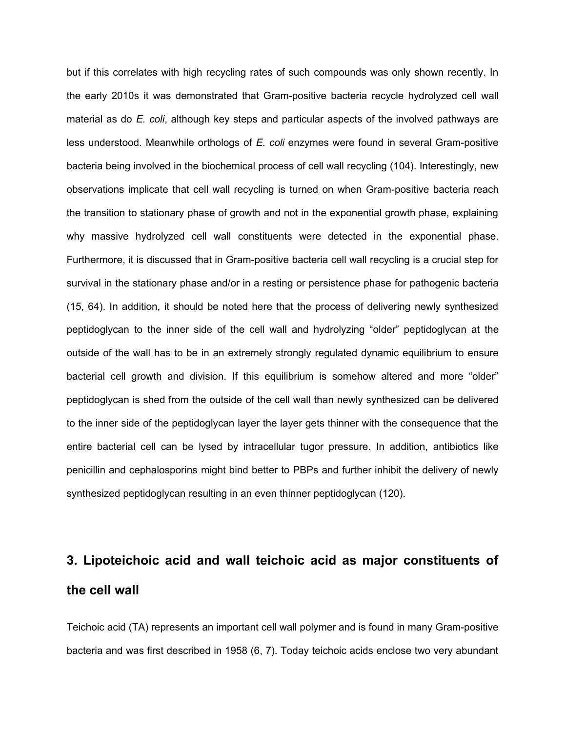but if this correlates with high recycling rates of such compounds was only shown recently. In the early 2010s it was demonstrated that Gram-positive bacteria recycle hydrolyzed cell wall material as do *E. coli*, although key steps and particular aspects of the involved pathways are less understood. Meanwhile orthologs of *E. coli* enzymes were found in several Gram-positive bacteria being involved in the biochemical process of cell wall recycling (104). Interestingly, new observations implicate that cell wall recycling is turned on when Gram-positive bacteria reach the transition to stationary phase of growth and not in the exponential growth phase, explaining why massive hydrolyzed cell wall constituents were detected in the exponential phase. Furthermore, it is discussed that in Gram-positive bacteria cell wall recycling is a crucial step for survival in the stationary phase and/or in a resting or persistence phase for pathogenic bacteria (15, 64). In addition, it should be noted here that the process of delivering newly synthesized peptidoglycan to the inner side of the cell wall and hydrolyzing "older" peptidoglycan at the outside of the wall has to be in an extremely strongly regulated dynamic equilibrium to ensure bacterial cell growth and division. If this equilibrium is somehow altered and more "older" peptidoglycan is shed from the outside of the cell wall than newly synthesized can be delivered to the inner side of the peptidoglycan layer the layer gets thinner with the consequence that the entire bacterial cell can be lysed by intracellular tugor pressure. In addition, antibiotics like penicillin and cephalosporins might bind better to PBPs and further inhibit the delivery of newly synthesized peptidoglycan resulting in an even thinner peptidoglycan (120).

# **3. Lipoteichoic acid and wall teichoic acid as major constituents of the cell wall**

Teichoic acid (TA) represents an important cell wall polymer and is found in many Gram-positive bacteria and was first described in 1958 (6, 7). Today teichoic acids enclose two very abundant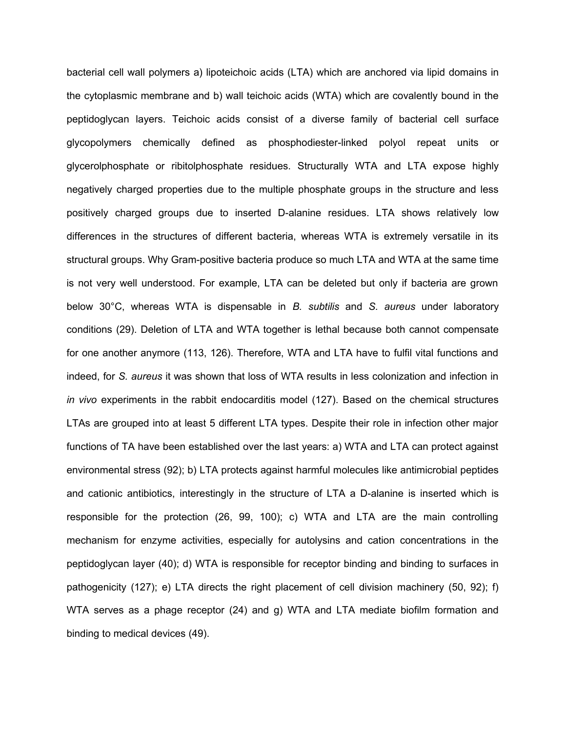bacterial cell wall polymers a) lipoteichoic acids (LTA) which are anchored via lipid domains in the cytoplasmic membrane and b) wall teichoic acids (WTA) which are covalently bound in the peptidoglycan layers. Teichoic acids consist of a diverse family of bacterial cell surface glycopolymers chemically defined as phosphodiester-linked polyol repeat units or glycerolphosphate or ribitolphosphate residues. Structurally WTA and LTA expose highly negatively charged properties due to the multiple phosphate groups in the structure and less positively charged groups due to inserted D-alanine residues. LTA shows relatively low differences in the structures of different bacteria, whereas WTA is extremely versatile in its structural groups. Why Gram-positive bacteria produce so much LTA and WTA at the same time is not very well understood. For example, LTA can be deleted but only if bacteria are grown below 30°C, whereas WTA is dispensable in *B. subtilis* and *S. aureus* under laboratory conditions (29). Deletion of LTA and WTA together is lethal because both cannot compensate for one another anymore (113, 126). Therefore, WTA and LTA have to fulfil vital functions and indeed, for *S. aureus* it was shown that loss of WTA results in less colonization and infection in *in vivo* experiments in the rabbit endocarditis model (127). Based on the chemical structures LTAs are grouped into at least 5 different LTA types. Despite their role in infection other major functions of TA have been established over the last years: a) WTA and LTA can protect against environmental stress (92); b) LTA protects against harmful molecules like antimicrobial peptides and cationic antibiotics, interestingly in the structure of LTA a D-alanine is inserted which is responsible for the protection (26, 99, 100); c) WTA and LTA are the main controlling mechanism for enzyme activities, especially for autolysins and cation concentrations in the peptidoglycan layer (40); d) WTA is responsible for receptor binding and binding to surfaces in pathogenicity (127); e) LTA directs the right placement of cell division machinery (50, 92); f) WTA serves as a phage receptor (24) and g) WTA and LTA mediate biofilm formation and binding to medical devices (49).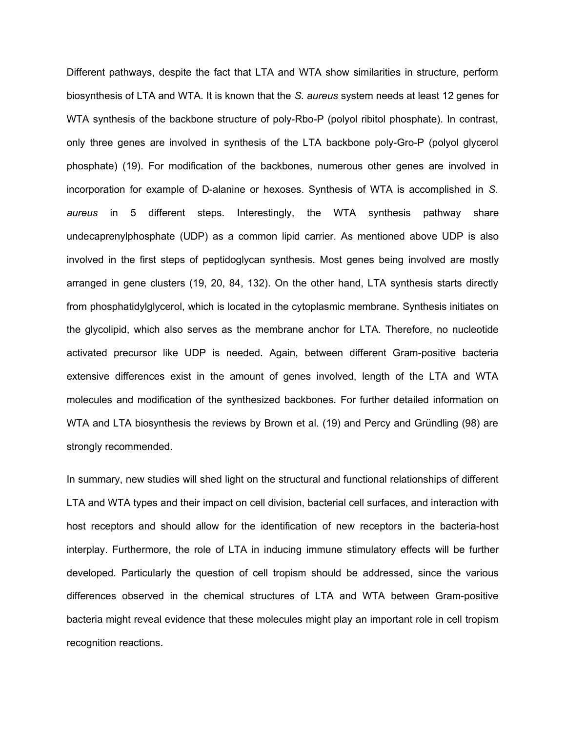Different pathways, despite the fact that LTA and WTA show similarities in structure, perform biosynthesis of LTA and WTA. It is known that the *S. aureus* system needs at least 12 genes for WTA synthesis of the backbone structure of poly-Rbo-P (polyol ribitol phosphate). In contrast, only three genes are involved in synthesis of the LTA backbone poly-Gro-P (polyol glycerol phosphate) (19). For modification of the backbones, numerous other genes are involved in incorporation for example of D-alanine or hexoses. Synthesis of WTA is accomplished in *S. aureus* in 5 different steps. Interestingly, the WTA synthesis pathway share undecaprenylphosphate (UDP) as a common lipid carrier. As mentioned above UDP is also involved in the first steps of peptidoglycan synthesis. Most genes being involved are mostly arranged in gene clusters (19, 20, 84, 132). On the other hand, LTA synthesis starts directly from phosphatidylglycerol, which is located in the cytoplasmic membrane. Synthesis initiates on the glycolipid, which also serves as the membrane anchor for LTA. Therefore, no nucleotide activated precursor like UDP is needed. Again, between different Gram-positive bacteria extensive differences exist in the amount of genes involved, length of the LTA and WTA molecules and modification of the synthesized backbones. For further detailed information on WTA and LTA biosynthesis the reviews by Brown et al. (19) and Percy and Gründling (98) are strongly recommended.

In summary, new studies will shed light on the structural and functional relationships of different LTA and WTA types and their impact on cell division, bacterial cell surfaces, and interaction with host receptors and should allow for the identification of new receptors in the bacteria-host interplay. Furthermore, the role of LTA in inducing immune stimulatory effects will be further developed. Particularly the question of cell tropism should be addressed, since the various differences observed in the chemical structures of LTA and WTA between Gram-positive bacteria might reveal evidence that these molecules might play an important role in cell tropism recognition reactions.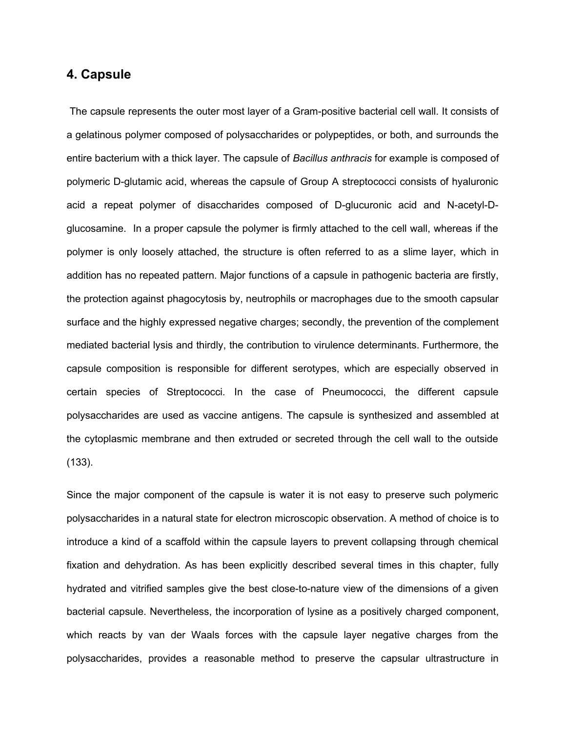#### **4. Capsule**

The capsule represents the outer most layer of a Gram-positive bacterial cell wall. It consists of a gelatinous polymer composed of polysaccharides or polypeptides, or both, and surrounds the entire bacterium with a thick layer. The capsule of *Bacillus anthracis* for example is composed of polymeric D-glutamic acid, whereas the capsule of Group A streptococci consists of hyaluronic acid a repeat polymer of disaccharides composed of D-glucuronic acid and N-acetyl-Dglucosamine. In a proper capsule the polymer is firmly attached to the cell wall, whereas if the polymer is only loosely attached, the structure is often referred to as a slime layer, which in addition has no repeated pattern. Major functions of a capsule in pathogenic bacteria are firstly, the protection against phagocytosis by, neutrophils or macrophages due to the smooth capsular surface and the highly expressed negative charges; secondly, the prevention of the complement mediated bacterial lysis and thirdly, the contribution to virulence determinants. Furthermore, the capsule composition is responsible for different serotypes, which are especially observed in certain species of Streptococci. In the case of Pneumococci, the different capsule polysaccharides are used as vaccine antigens. The capsule is synthesized and assembled at the cytoplasmic membrane and then extruded or secreted through the cell wall to the outside (133).

Since the major component of the capsule is water it is not easy to preserve such polymeric polysaccharides in a natural state for electron microscopic observation. A method of choice is to introduce a kind of a scaffold within the capsule layers to prevent collapsing through chemical fixation and dehydration. As has been explicitly described several times in this chapter, fully hydrated and vitrified samples give the best close-to-nature view of the dimensions of a given bacterial capsule. Nevertheless, the incorporation of lysine as a positively charged component, which reacts by van der Waals forces with the capsule layer negative charges from the polysaccharides, provides a reasonable method to preserve the capsular ultrastructure in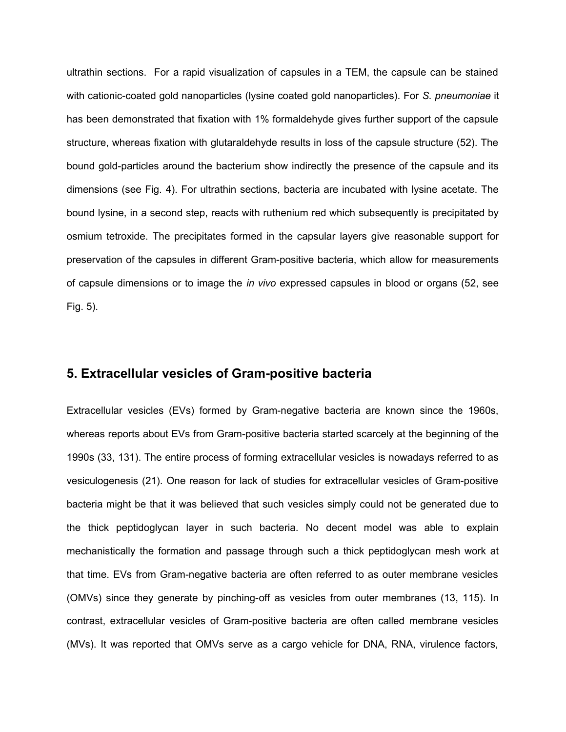ultrathin sections. For a rapid visualization of capsules in a TEM, the capsule can be stained with cationic-coated gold nanoparticles (lysine coated gold nanoparticles). For *S. pneumoniae* it has been demonstrated that fixation with 1% formaldehyde gives further support of the capsule structure, whereas fixation with glutaraldehyde results in loss of the capsule structure (52). The bound gold-particles around the bacterium show indirectly the presence of the capsule and its dimensions (see Fig. 4). For ultrathin sections, bacteria are incubated with lysine acetate. The bound lysine, in a second step, reacts with ruthenium red which subsequently is precipitated by osmium tetroxide. The precipitates formed in the capsular layers give reasonable support for preservation of the capsules in different Gram-positive bacteria, which allow for measurements of capsule dimensions or to image the *in vivo* expressed capsules in blood or organs (52, see Fig. 5).

#### **5. Extracellular vesicles of Gram-positive bacteria**

Extracellular vesicles (EVs) formed by Gram-negative bacteria are known since the 1960s, whereas reports about EVs from Gram-positive bacteria started scarcely at the beginning of the 1990s (33, 131). The entire process of forming extracellular vesicles is nowadays referred to as vesiculogenesis (21). One reason for lack of studies for extracellular vesicles of Gram-positive bacteria might be that it was believed that such vesicles simply could not be generated due to the thick peptidoglycan layer in such bacteria. No decent model was able to explain mechanistically the formation and passage through such a thick peptidoglycan mesh work at that time. EVs from Gram-negative bacteria are often referred to as outer membrane vesicles (OMVs) since they generate by pinching-off as vesicles from outer membranes (13, 115). In contrast, extracellular vesicles of Gram-positive bacteria are often called membrane vesicles (MVs). It was reported that OMVs serve as a cargo vehicle for DNA, RNA, virulence factors,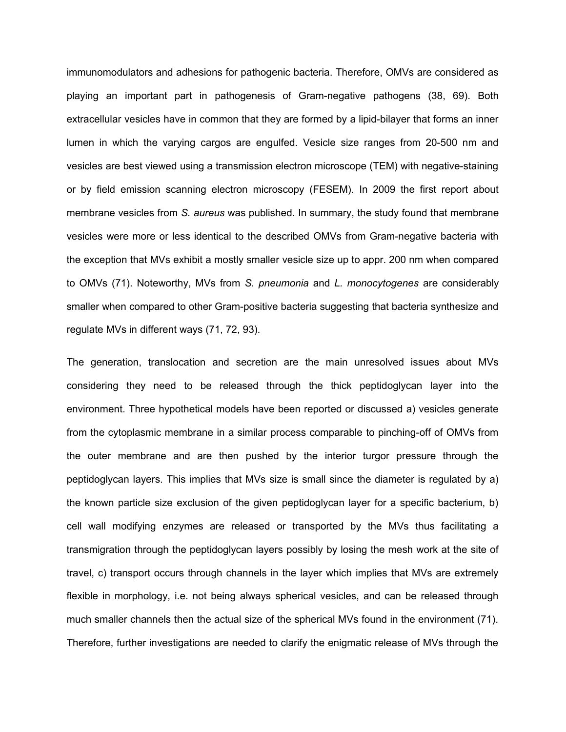immunomodulators and adhesions for pathogenic bacteria. Therefore, OMVs are considered as playing an important part in pathogenesis of Gram-negative pathogens (38, 69). Both extracellular vesicles have in common that they are formed by a lipid-bilayer that forms an inner lumen in which the varying cargos are engulfed. Vesicle size ranges from 20-500 nm and vesicles are best viewed using a transmission electron microscope (TEM) with negative-staining or by field emission scanning electron microscopy (FESEM). In 2009 the first report about membrane vesicles from *S. aureus* was published. In summary, the study found that membrane vesicles were more or less identical to the described OMVs from Gram-negative bacteria with the exception that MVs exhibit a mostly smaller vesicle size up to appr. 200 nm when compared to OMVs (71). Noteworthy, MVs from *S. pneumonia* and *L. monocytogenes* are considerably smaller when compared to other Gram-positive bacteria suggesting that bacteria synthesize and regulate MVs in different ways (71, 72, 93).

The generation, translocation and secretion are the main unresolved issues about MVs considering they need to be released through the thick peptidoglycan layer into the environment. Three hypothetical models have been reported or discussed a) vesicles generate from the cytoplasmic membrane in a similar process comparable to pinching-off of OMVs from the outer membrane and are then pushed by the interior turgor pressure through the peptidoglycan layers. This implies that MVs size is small since the diameter is regulated by a) the known particle size exclusion of the given peptidoglycan layer for a specific bacterium, b) cell wall modifying enzymes are released or transported by the MVs thus facilitating a transmigration through the peptidoglycan layers possibly by losing the mesh work at the site of travel, c) transport occurs through channels in the layer which implies that MVs are extremely flexible in morphology, i.e. not being always spherical vesicles, and can be released through much smaller channels then the actual size of the spherical MVs found in the environment (71). Therefore, further investigations are needed to clarify the enigmatic release of MVs through the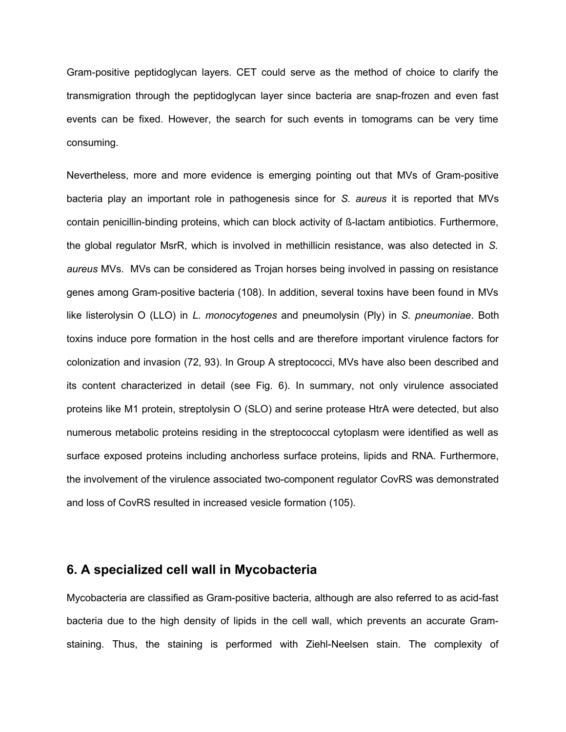Gram-positive peptidoglycan layers. CET could serve as the method of choice to clarify the transmigration through the peptidoglycan layer since bacteria are snap-frozen and even fast events can be fixed. However, the search for such events in tomograms can be very time consuming.

Nevertheless, more and more evidence is emerging pointing out that MVs of Gram-positive bacteria play an important role in pathogenesis since for *S. aureus* it is reported that MVs contain penicillin-binding proteins, which can block activity of ß-lactam antibiotics. Furthermore, the global regulator MsrR, which is involved in methillicin resistance, was also detected in *S. aureus* MVs. MVs can be considered as Trojan horses being involved in passing on resistance genes among Gram-positive bacteria (108). In addition, several toxins have been found in MVs like listerolysin O (LLO) in *L. monocytogenes* and pneumolysin (Ply) in *S. pneumoniae*. Both toxins induce pore formation in the host cells and are therefore important virulence factors for colonization and invasion (72, 93). In Group A streptococci, MVs have also been described and its content characterized in detail (see Fig. 6). In summary, not only virulence associated proteins like M1 protein, streptolysin O (SLO) and serine protease HtrA were detected, but also numerous metabolic proteins residing in the streptococcal cytoplasm were identified as well as surface exposed proteins including anchorless surface proteins, lipids and RNA. Furthermore, the involvement of the virulence associated two-component regulator CovRS was demonstrated and loss of CovRS resulted in increased vesicle formation (105).

#### **6. A specialized cell wall in Mycobacteria**

Mycobacteria are classified as Gram-positive bacteria, although are also referred to as acid-fast bacteria due to the high density of lipids in the cell wall, which prevents an accurate Gramstaining. Thus, the staining is performed with Ziehl-Neelsen stain. The complexity of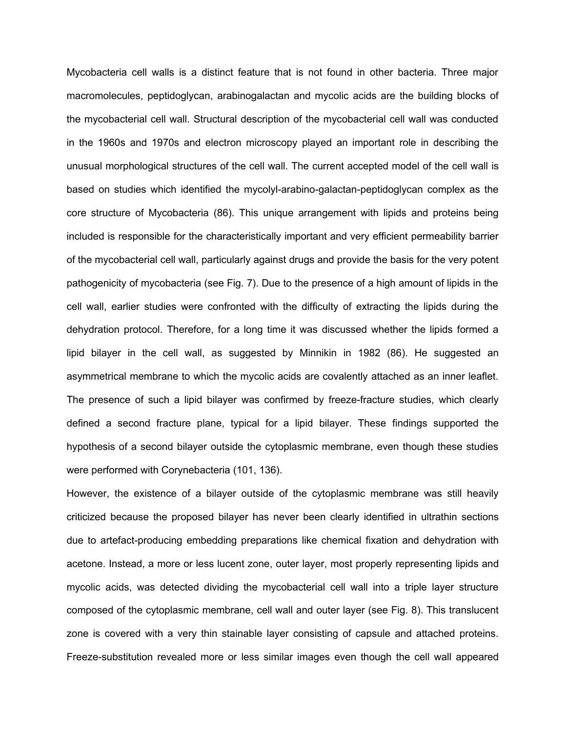Mycobacteria cell walls is a distinct feature that is not found in other bacteria. Three major macromolecules, peptidoglycan, arabinogalactan and mycolic acids are the building blocks of the mycobacterial cell wall. Structural description of the mycobacterial cell wall was conducted in the 1960s and 1970s and electron microscopy played an important role in describing the unusual morphological structures of the cell wall. The current accepted model of the cell wall is based on studies which identified the mycolyl-arabino-galactan-peptidoglycan complex as the core structure of Mycobacteria (86). This unique arrangement with lipids and proteins being included is responsible for the characteristically important and very efficient permeability barrier of the mycobacterial cell wall, particularly against drugs and provide the basis for the very potent pathogenicity of mycobacteria (see Fig. 7). Due to the presence of a high amount of lipids in the cell wall, earlier studies were confronted with the difficulty of extracting the lipids during the dehydration protocol. Therefore, for a long time it was discussed whether the lipids formed a lipid bilayer in the cell wall, as suggested by Minnikin in 1982 (86). He suggested an asymmetrical membrane to which the mycolic acids are covalently attached as an inner leaflet. The presence of such a lipid bilayer was confirmed by freeze-fracture studies, which clearly defined a second fracture plane, typical for a lipid bilayer. These findings supported the hypothesis of a second bilayer outside the cytoplasmic membrane, even though these studies were performed with Corynebacteria (101, 136).

However, the existence of a bilayer outside of the cytoplasmic membrane was still heavily criticized because the proposed bilayer has never been clearly identified in ultrathin sections due to artefact-producing embedding preparations like chemical fixation and dehydration with acetone. Instead, a more or less lucent zone, outer layer, most properly representing lipids and mycolic acids, was detected dividing the mycobacterial cell wall into a triple layer structure composed of the cytoplasmic membrane, cell wall and outer layer (see Fig. 8). This translucent zone is covered with a very thin stainable layer consisting of capsule and attached proteins. Freeze-substitution revealed more or less similar images even though the cell wall appeared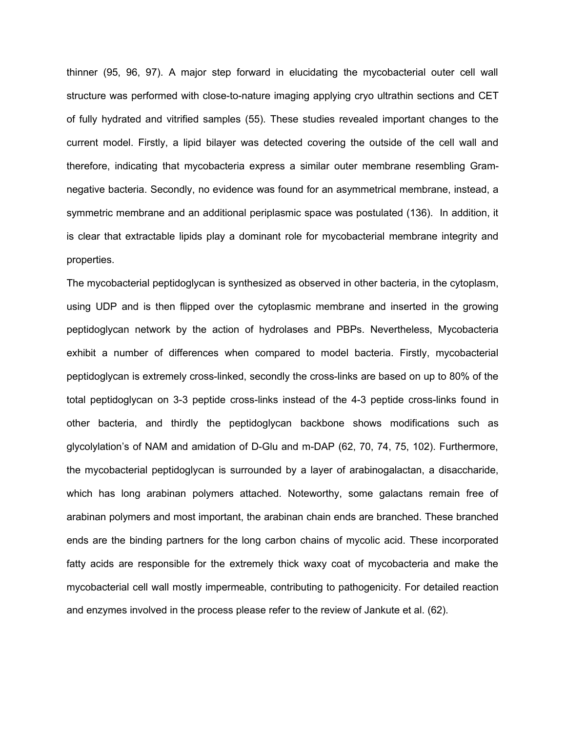thinner (95, 96, 97). A major step forward in elucidating the mycobacterial outer cell wall structure was performed with close-to-nature imaging applying cryo ultrathin sections and CET of fully hydrated and vitrified samples (55). These studies revealed important changes to the current model. Firstly, a lipid bilayer was detected covering the outside of the cell wall and therefore, indicating that mycobacteria express a similar outer membrane resembling Gramnegative bacteria. Secondly, no evidence was found for an asymmetrical membrane, instead, a symmetric membrane and an additional periplasmic space was postulated (136). In addition, it is clear that extractable lipids play a dominant role for mycobacterial membrane integrity and properties.

The mycobacterial peptidoglycan is synthesized as observed in other bacteria, in the cytoplasm, using UDP and is then flipped over the cytoplasmic membrane and inserted in the growing peptidoglycan network by the action of hydrolases and PBPs. Nevertheless, Mycobacteria exhibit a number of differences when compared to model bacteria. Firstly, mycobacterial peptidoglycan is extremely cross-linked, secondly the cross-links are based on up to 80% of the total peptidoglycan on 3-3 peptide cross-links instead of the 4-3 peptide cross-links found in other bacteria, and thirdly the peptidoglycan backbone shows modifications such as glycolylation's of NAM and amidation of D-Glu and m-DAP (62, 70, 74, 75, 102). Furthermore, the mycobacterial peptidoglycan is surrounded by a layer of arabinogalactan, a disaccharide, which has long arabinan polymers attached. Noteworthy, some galactans remain free of arabinan polymers and most important, the arabinan chain ends are branched. These branched ends are the binding partners for the long carbon chains of mycolic acid. These incorporated fatty acids are responsible for the extremely thick waxy coat of mycobacteria and make the mycobacterial cell wall mostly impermeable, contributing to pathogenicity. For detailed reaction and enzymes involved in the process please refer to the review of Jankute et al. (62).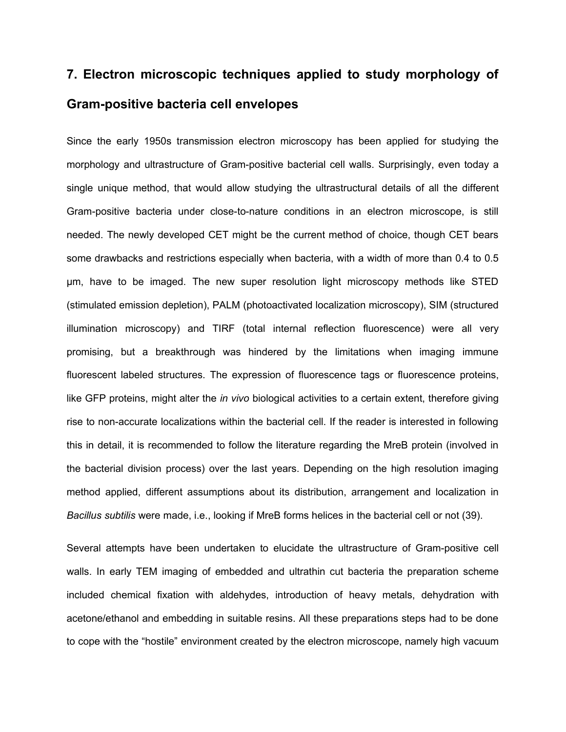## **7. Electron microscopic techniques applied to study morphology of Gram-positive bacteria cell envelopes**

Since the early 1950s transmission electron microscopy has been applied for studying the morphology and ultrastructure of Gram-positive bacterial cell walls. Surprisingly, even today a single unique method, that would allow studying the ultrastructural details of all the different Gram-positive bacteria under close-to-nature conditions in an electron microscope, is still needed. The newly developed CET might be the current method of choice, though CET bears some drawbacks and restrictions especially when bacteria, with a width of more than 0.4 to 0.5 µm, have to be imaged. The new super resolution light microscopy methods like STED (stimulated emission depletion), PALM (photoactivated localization microscopy), SIM (structured illumination microscopy) and TIRF (total internal reflection fluorescence) were all very promising, but a breakthrough was hindered by the limitations when imaging immune fluorescent labeled structures. The expression of fluorescence tags or fluorescence proteins, like GFP proteins, might alter the *in vivo* biological activities to a certain extent, therefore giving rise to non-accurate localizations within the bacterial cell. If the reader is interested in following this in detail, it is recommended to follow the literature regarding the MreB protein (involved in the bacterial division process) over the last years. Depending on the high resolution imaging method applied, different assumptions about its distribution, arrangement and localization in *Bacillus subtilis* were made, i.e., looking if MreB forms helices in the bacterial cell or not (39).

Several attempts have been undertaken to elucidate the ultrastructure of Gram-positive cell walls. In early TEM imaging of embedded and ultrathin cut bacteria the preparation scheme included chemical fixation with aldehydes, introduction of heavy metals, dehydration with acetone/ethanol and embedding in suitable resins. All these preparations steps had to be done to cope with the "hostile" environment created by the electron microscope, namely high vacuum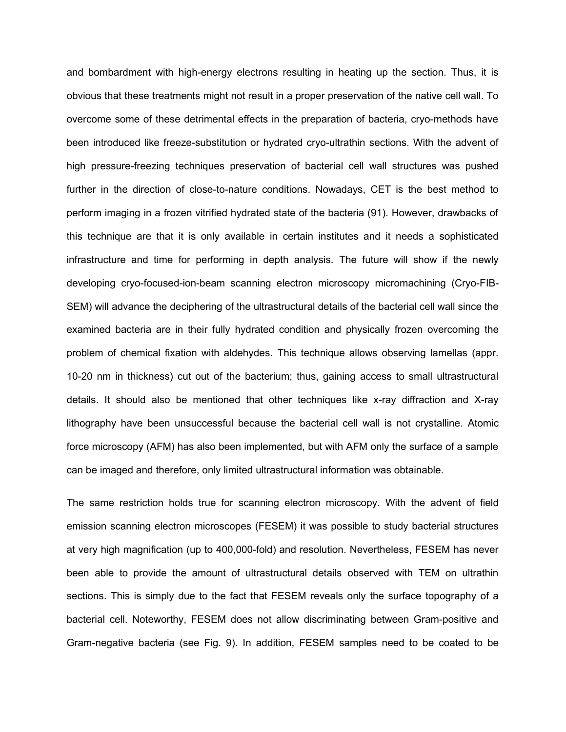and bombardment with high-energy electrons resulting in heating up the section. Thus, it is obvious that these treatments might not result in a proper preservation of the native cell wall. To overcome some of these detrimental effects in the preparation of bacteria, cryo-methods have been introduced like freeze-substitution or hydrated cryo-ultrathin sections. With the advent of high pressure-freezing techniques preservation of bacterial cell wall structures was pushed further in the direction of close-to-nature conditions. Nowadays, CET is the best method to perform imaging in a frozen vitrified hydrated state of the bacteria (91). However, drawbacks of this technique are that it is only available in certain institutes and it needs a sophisticated infrastructure and time for performing in depth analysis. The future will show if the newly developing cryo-focused-ion-beam scanning electron microscopy micromachining (Cryo-FIB-SEM) will advance the deciphering of the ultrastructural details of the bacterial cell wall since the examined bacteria are in their fully hydrated condition and physically frozen overcoming the problem of chemical fixation with aldehydes. This technique allows observing lamellas (appr. 10-20 nm in thickness) cut out of the bacterium; thus, gaining access to small ultrastructural details. It should also be mentioned that other techniques like x-ray diffraction and X-ray lithography have been unsuccessful because the bacterial cell wall is not crystalline. Atomic force microscopy (AFM) has also been implemented, but with AFM only the surface of a sample can be imaged and therefore, only limited ultrastructural information was obtainable.

The same restriction holds true for scanning electron microscopy. With the advent of field emission scanning electron microscopes (FESEM) it was possible to study bacterial structures at very high magnification (up to 400,000-fold) and resolution. Nevertheless, FESEM has never been able to provide the amount of ultrastructural details observed with TEM on ultrathin sections. This is simply due to the fact that FESEM reveals only the surface topography of a bacterial cell. Noteworthy, FESEM does not allow discriminating between Gram-positive and Gram-negative bacteria (see Fig. 9). In addition, FESEM samples need to be coated to be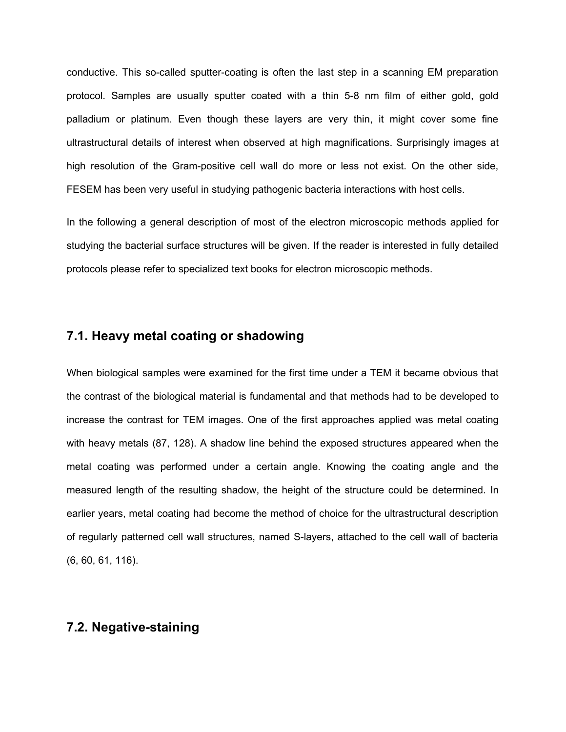conductive. This so-called sputter-coating is often the last step in a scanning EM preparation protocol. Samples are usually sputter coated with a thin 5-8 nm film of either gold, gold palladium or platinum. Even though these layers are very thin, it might cover some fine ultrastructural details of interest when observed at high magnifications. Surprisingly images at high resolution of the Gram-positive cell wall do more or less not exist. On the other side, FESEM has been very useful in studying pathogenic bacteria interactions with host cells.

In the following a general description of most of the electron microscopic methods applied for studying the bacterial surface structures will be given. If the reader is interested in fully detailed protocols please refer to specialized text books for electron microscopic methods.

#### **7.1. Heavy metal coating or shadowing**

When biological samples were examined for the first time under a TEM it became obvious that the contrast of the biological material is fundamental and that methods had to be developed to increase the contrast for TEM images. One of the first approaches applied was metal coating with heavy metals (87, 128). A shadow line behind the exposed structures appeared when the metal coating was performed under a certain angle. Knowing the coating angle and the measured length of the resulting shadow, the height of the structure could be determined. In earlier years, metal coating had become the method of choice for the ultrastructural description of regularly patterned cell wall structures, named S-layers, attached to the cell wall of bacteria (6, 60, 61, 116).

#### **7.2. Negative-staining**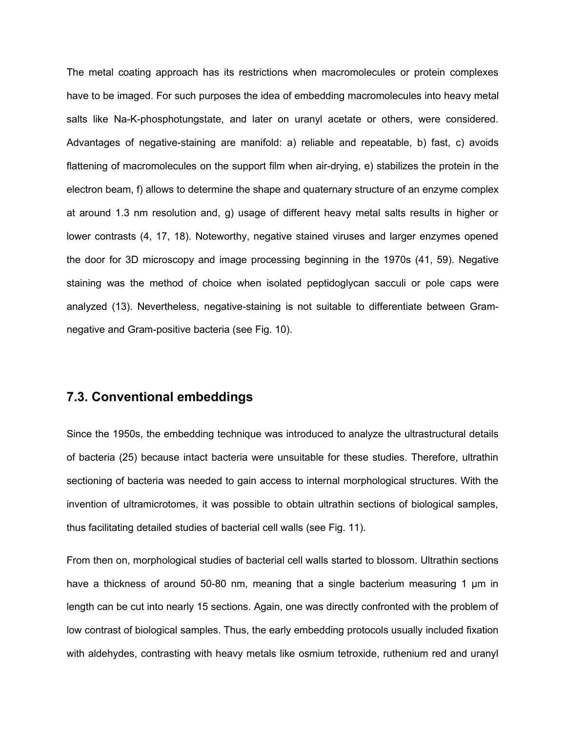The metal coating approach has its restrictions when macromolecules or protein complexes have to be imaged. For such purposes the idea of embedding macromolecules into heavy metal salts like Na-K-phosphotungstate, and later on uranyl acetate or others, were considered. Advantages of negative-staining are manifold: a) reliable and repeatable, b) fast, c) avoids flattening of macromolecules on the support film when air-drying, e) stabilizes the protein in the electron beam, f) allows to determine the shape and quaternary structure of an enzyme complex at around 1.3 nm resolution and, g) usage of different heavy metal salts results in higher or lower contrasts (4, 17, 18). Noteworthy, negative stained viruses and larger enzymes opened the door for 3D microscopy and image processing beginning in the 1970s (41, 59). Negative staining was the method of choice when isolated peptidoglycan sacculi or pole caps were analyzed (13). Nevertheless, negative-staining is not suitable to differentiate between Gramnegative and Gram-positive bacteria (see Fig. 10).

#### **7.3. Conventional embeddings**

Since the 1950s, the embedding technique was introduced to analyze the ultrastructural details of bacteria (25) because intact bacteria were unsuitable for these studies. Therefore, ultrathin sectioning of bacteria was needed to gain access to internal morphological structures. With the invention of ultramicrotomes, it was possible to obtain ultrathin sections of biological samples, thus facilitating detailed studies of bacterial cell walls (see Fig. 11).

From then on, morphological studies of bacterial cell walls started to blossom. Ultrathin sections have a thickness of around 50-80 nm, meaning that a single bacterium measuring 1 µm in length can be cut into nearly 15 sections. Again, one was directly confronted with the problem of low contrast of biological samples. Thus, the early embedding protocols usually included fixation with aldehydes, contrasting with heavy metals like osmium tetroxide, ruthenium red and uranyl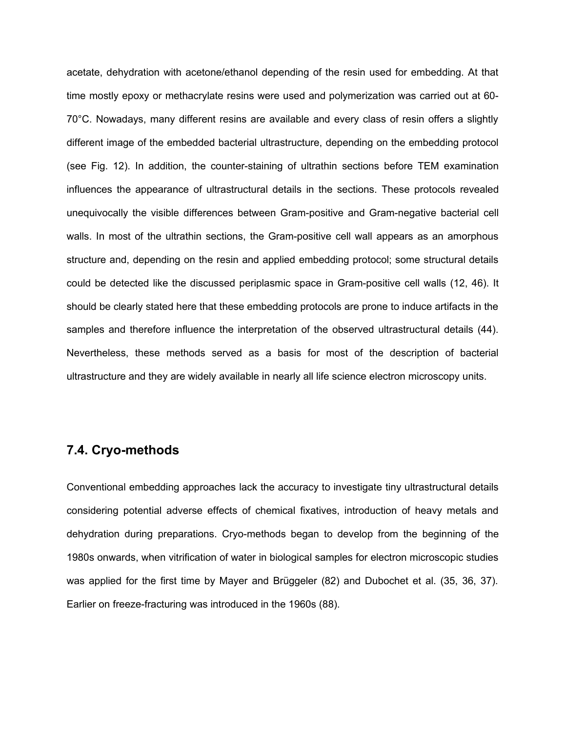acetate, dehydration with acetone/ethanol depending of the resin used for embedding. At that time mostly epoxy or methacrylate resins were used and polymerization was carried out at 60- 70°C. Nowadays, many different resins are available and every class of resin offers a slightly different image of the embedded bacterial ultrastructure, depending on the embedding protocol (see Fig. 12). In addition, the counter-staining of ultrathin sections before TEM examination influences the appearance of ultrastructural details in the sections. These protocols revealed unequivocally the visible differences between Gram-positive and Gram-negative bacterial cell walls. In most of the ultrathin sections, the Gram-positive cell wall appears as an amorphous structure and, depending on the resin and applied embedding protocol; some structural details could be detected like the discussed periplasmic space in Gram-positive cell walls (12, 46). It should be clearly stated here that these embedding protocols are prone to induce artifacts in the samples and therefore influence the interpretation of the observed ultrastructural details (44). Nevertheless, these methods served as a basis for most of the description of bacterial ultrastructure and they are widely available in nearly all life science electron microscopy units.

#### **7.4. Cryo-methods**

Conventional embedding approaches lack the accuracy to investigate tiny ultrastructural details considering potential adverse effects of chemical fixatives, introduction of heavy metals and dehydration during preparations. Cryo-methods began to develop from the beginning of the 1980s onwards, when vitrification of water in biological samples for electron microscopic studies was applied for the first time by Mayer and Brüggeler (82) and Dubochet et al. (35, 36, 37). Earlier on freeze-fracturing was introduced in the 1960s (88).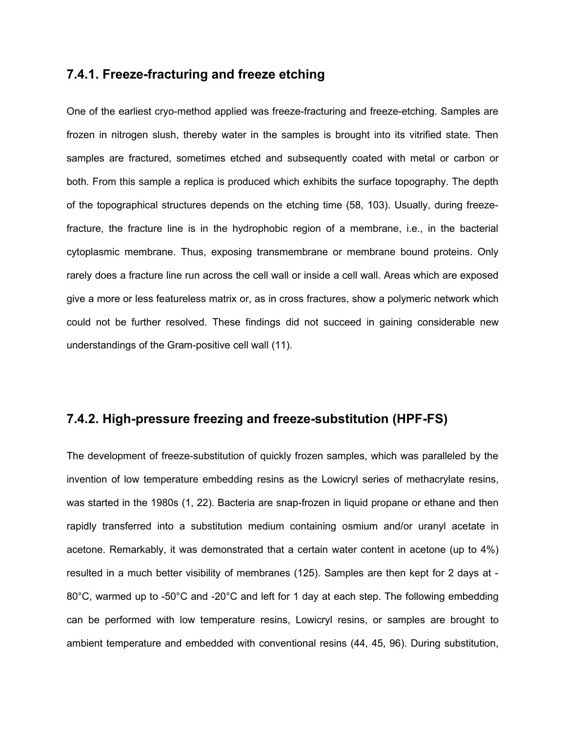#### **7.4.1. Freeze-fracturing and freeze etching**

One of the earliest cryo-method applied was freeze-fracturing and freeze-etching. Samples are frozen in nitrogen slush, thereby water in the samples is brought into its vitrified state. Then samples are fractured, sometimes etched and subsequently coated with metal or carbon or both. From this sample a replica is produced which exhibits the surface topography. The depth of the topographical structures depends on the etching time (58, 103). Usually, during freezefracture, the fracture line is in the hydrophobic region of a membrane, i.e., in the bacterial cytoplasmic membrane. Thus, exposing transmembrane or membrane bound proteins. Only rarely does a fracture line run across the cell wall or inside a cell wall. Areas which are exposed give a more or less featureless matrix or, as in cross fractures, show a polymeric network which could not be further resolved. These findings did not succeed in gaining considerable new understandings of the Gram-positive cell wall (11).

#### **7.4.2. High-pressure freezing and freeze-substitution (HPF-FS)**

The development of freeze-substitution of quickly frozen samples, which was paralleled by the invention of low temperature embedding resins as the Lowicryl series of methacrylate resins, was started in the 1980s (1, 22). Bacteria are snap-frozen in liquid propane or ethane and then rapidly transferred into a substitution medium containing osmium and/or uranyl acetate in acetone. Remarkably, it was demonstrated that a certain water content in acetone (up to 4%) resulted in a much better visibility of membranes (125). Samples are then kept for 2 days at - 80°C, warmed up to -50°C and -20°C and left for 1 day at each step. The following embedding can be performed with low temperature resins, Lowicryl resins, or samples are brought to ambient temperature and embedded with conventional resins (44, 45, 96). During substitution,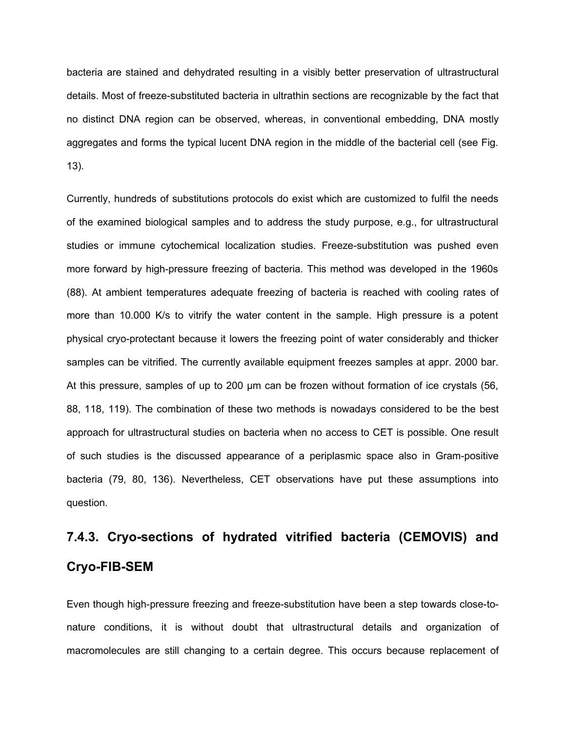bacteria are stained and dehydrated resulting in a visibly better preservation of ultrastructural details. Most of freeze-substituted bacteria in ultrathin sections are recognizable by the fact that no distinct DNA region can be observed, whereas, in conventional embedding, DNA mostly aggregates and forms the typical lucent DNA region in the middle of the bacterial cell (see Fig. 13).

Currently, hundreds of substitutions protocols do exist which are customized to fulfil the needs of the examined biological samples and to address the study purpose, e.g., for ultrastructural studies or immune cytochemical localization studies. Freeze-substitution was pushed even more forward by high-pressure freezing of bacteria. This method was developed in the 1960s (88). At ambient temperatures adequate freezing of bacteria is reached with cooling rates of more than 10.000 K/s to vitrify the water content in the sample. High pressure is a potent physical cryo-protectant because it lowers the freezing point of water considerably and thicker samples can be vitrified. The currently available equipment freezes samples at appr. 2000 bar. At this pressure, samples of up to 200 µm can be frozen without formation of ice crystals (56, 88, 118, 119). The combination of these two methods is nowadays considered to be the best approach for ultrastructural studies on bacteria when no access to CET is possible. One result of such studies is the discussed appearance of a periplasmic space also in Gram-positive bacteria (79, 80, 136). Nevertheless, CET observations have put these assumptions into question.

## **7.4.3. Cryo-sections of hydrated vitrified bacteria (CEMOVIS) and Cryo-FIB-SEM**

Even though high-pressure freezing and freeze-substitution have been a step towards close-tonature conditions, it is without doubt that ultrastructural details and organization of macromolecules are still changing to a certain degree. This occurs because replacement of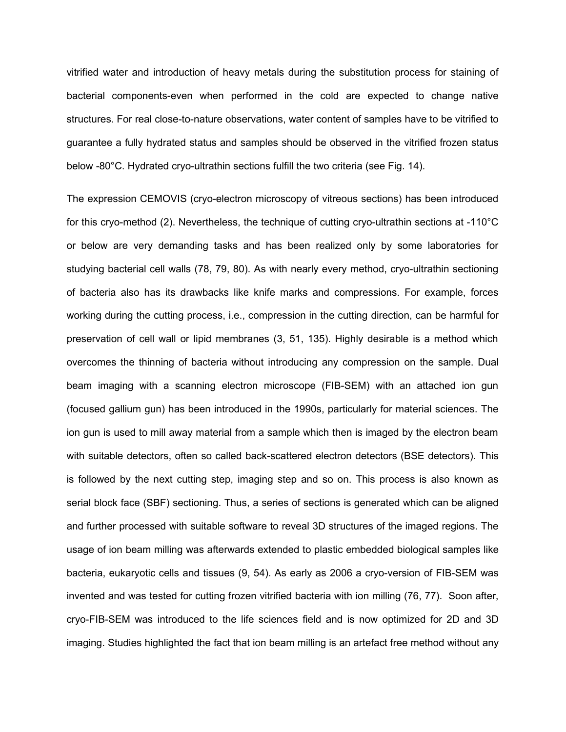vitrified water and introduction of heavy metals during the substitution process for staining of bacterial components-even when performed in the cold are expected to change native structures. For real close-to-nature observations, water content of samples have to be vitrified to guarantee a fully hydrated status and samples should be observed in the vitrified frozen status below -80°C. Hydrated cryo-ultrathin sections fulfill the two criteria (see Fig. 14).

The expression CEMOVIS (cryo-electron microscopy of vitreous sections) has been introduced for this cryo-method (2). Nevertheless, the technique of cutting cryo-ultrathin sections at -110°C or below are very demanding tasks and has been realized only by some laboratories for studying bacterial cell walls (78, 79, 80). As with nearly every method, cryo-ultrathin sectioning of bacteria also has its drawbacks like knife marks and compressions. For example, forces working during the cutting process, i.e., compression in the cutting direction, can be harmful for preservation of cell wall or lipid membranes (3, 51, 135). Highly desirable is a method which overcomes the thinning of bacteria without introducing any compression on the sample. Dual beam imaging with a scanning electron microscope (FIB-SEM) with an attached ion gun (focused gallium gun) has been introduced in the 1990s, particularly for material sciences. The ion gun is used to mill away material from a sample which then is imaged by the electron beam with suitable detectors, often so called back-scattered electron detectors (BSE detectors). This is followed by the next cutting step, imaging step and so on. This process is also known as serial block face (SBF) sectioning. Thus, a series of sections is generated which can be aligned and further processed with suitable software to reveal 3D structures of the imaged regions. The usage of ion beam milling was afterwards extended to plastic embedded biological samples like bacteria, eukaryotic cells and tissues (9, 54). As early as 2006 a cryo-version of FIB-SEM was invented and was tested for cutting frozen vitrified bacteria with ion milling (76, 77). Soon after, cryo-FIB-SEM was introduced to the life sciences field and is now optimized for 2D and 3D imaging. Studies highlighted the fact that ion beam milling is an artefact free method without any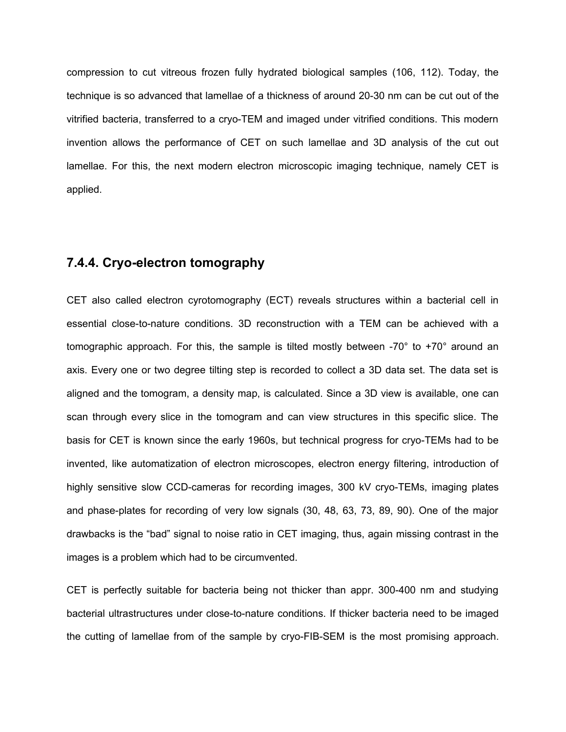compression to cut vitreous frozen fully hydrated biological samples (106, 112). Today, the technique is so advanced that lamellae of a thickness of around 20-30 nm can be cut out of the vitrified bacteria, transferred to a cryo-TEM and imaged under vitrified conditions. This modern invention allows the performance of CET on such lamellae and 3D analysis of the cut out lamellae. For this, the next modern electron microscopic imaging technique, namely CET is applied.

#### **7.4.4. Cryo-electron tomography**

CET also called electron cyrotomography (ECT) reveals structures within a bacterial cell in essential close-to-nature conditions. 3D reconstruction with a TEM can be achieved with a tomographic approach. For this, the sample is tilted mostly between -70° to +70° around an axis. Every one or two degree tilting step is recorded to collect a 3D data set. The data set is aligned and the tomogram, a density map, is calculated. Since a 3D view is available, one can scan through every slice in the tomogram and can view structures in this specific slice. The basis for CET is known since the early 1960s, but technical progress for cryo-TEMs had to be invented, like automatization of electron microscopes, electron energy filtering, introduction of highly sensitive slow CCD-cameras for recording images, 300 kV cryo-TEMs, imaging plates and phase-plates for recording of very low signals (30, 48, 63, 73, 89, 90). One of the major drawbacks is the "bad" signal to noise ratio in CET imaging, thus, again missing contrast in the images is a problem which had to be circumvented.

CET is perfectly suitable for bacteria being not thicker than appr. 300-400 nm and studying bacterial ultrastructures under close-to-nature conditions. If thicker bacteria need to be imaged the cutting of lamellae from of the sample by cryo-FIB-SEM is the most promising approach.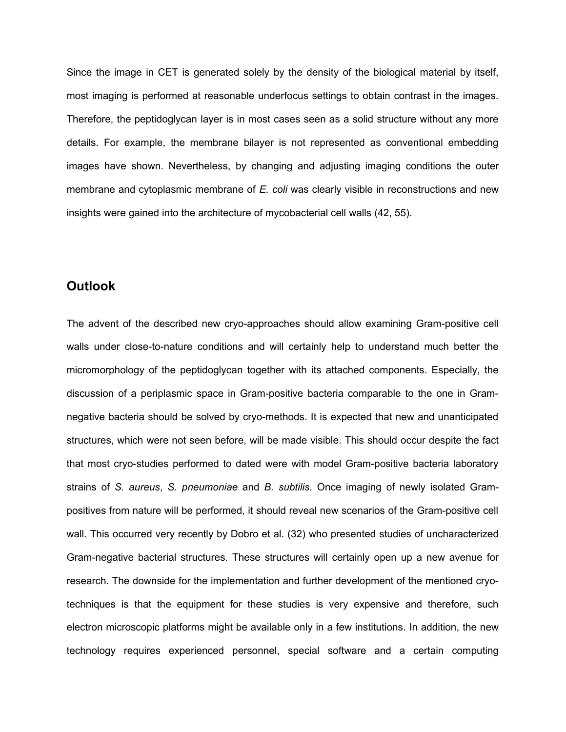Since the image in CET is generated solely by the density of the biological material by itself, most imaging is performed at reasonable underfocus settings to obtain contrast in the images. Therefore, the peptidoglycan layer is in most cases seen as a solid structure without any more details. For example, the membrane bilayer is not represented as conventional embedding images have shown. Nevertheless, by changing and adjusting imaging conditions the outer membrane and cytoplasmic membrane of *E. coli* was clearly visible in reconstructions and new insights were gained into the architecture of mycobacterial cell walls (42, 55).

#### **Outlook**

The advent of the described new cryo-approaches should allow examining Gram-positive cell walls under close-to-nature conditions and will certainly help to understand much better the micromorphology of the peptidoglycan together with its attached components. Especially, the discussion of a periplasmic space in Gram-positive bacteria comparable to the one in Gramnegative bacteria should be solved by cryo-methods. It is expected that new and unanticipated structures, which were not seen before, will be made visible. This should occur despite the fact that most cryo-studies performed to dated were with model Gram-positive bacteria laboratory strains of *S. aureus*, *S. pneumoniae* and *B. subtilis*. Once imaging of newly isolated Grampositives from nature will be performed, it should reveal new scenarios of the Gram-positive cell wall. This occurred very recently by Dobro et al. (32) who presented studies of uncharacterized Gram-negative bacterial structures. These structures will certainly open up a new avenue for research. The downside for the implementation and further development of the mentioned cryotechniques is that the equipment for these studies is very expensive and therefore, such electron microscopic platforms might be available only in a few institutions. In addition, the new technology requires experienced personnel, special software and a certain computing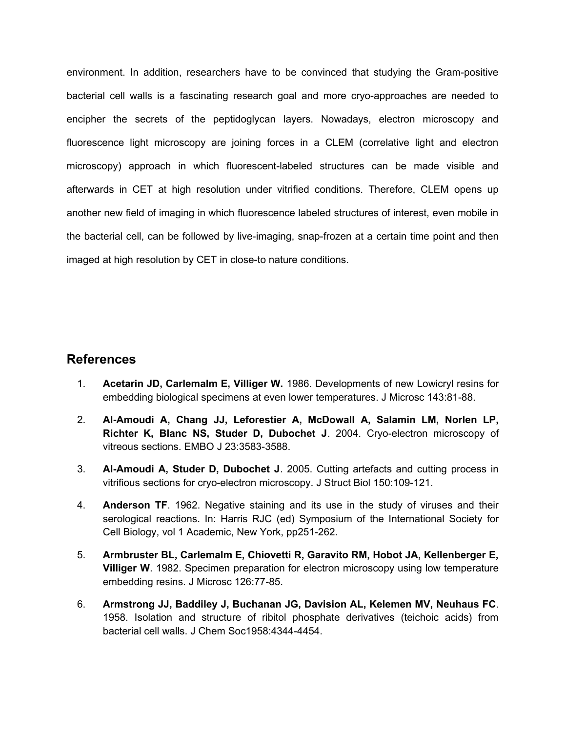environment. In addition, researchers have to be convinced that studying the Gram-positive bacterial cell walls is a fascinating research goal and more cryo-approaches are needed to encipher the secrets of the peptidoglycan layers. Nowadays, electron microscopy and fluorescence light microscopy are joining forces in a CLEM (correlative light and electron microscopy) approach in which fluorescent-labeled structures can be made visible and afterwards in CET at high resolution under vitrified conditions. Therefore, CLEM opens up another new field of imaging in which fluorescence labeled structures of interest, even mobile in the bacterial cell, can be followed by live-imaging, snap-frozen at a certain time point and then imaged at high resolution by CET in close-to nature conditions.

#### **References**

- 1. **Acetarin JD, Carlemalm E, Villiger W.** 1986. Developments of new Lowicryl resins for embedding biological specimens at even lower temperatures. J Microsc 143:81-88.
- 2. **Al-Amoudi A, Chang JJ, Leforestier A, McDowall A, Salamin LM, Norlen LP, Richter K, Blanc NS, Studer D, Dubochet J**. 2004. Cryo-electron microscopy of vitreous sections. EMBO J 23:3583-3588.
- 3. **Al-Amoudi A, Studer D, Dubochet J**. 2005. Cutting artefacts and cutting process in vitrifious sections for cryo-electron microscopy. J Struct Biol 150:109-121.
- 4. **Anderson TF**. 1962. Negative staining and its use in the study of viruses and their serological reactions. In: Harris RJC (ed) Symposium of the International Society for Cell Biology, vol 1 Academic, New York, pp251-262.
- 5. **Armbruster BL, Carlemalm E, Chiovetti R, Garavito RM, Hobot JA, Kellenberger E, Villiger W**. 1982. Specimen preparation for electron microscopy using low temperature embedding resins. J Microsc 126:77-85.
- 6. **Armstrong JJ, Baddiley J, Buchanan JG, Davision AL, Kelemen MV, Neuhaus FC**. 1958. Isolation and structure of ribitol phosphate derivatives (teichoic acids) from bacterial cell walls. J Chem Soc1958:4344-4454.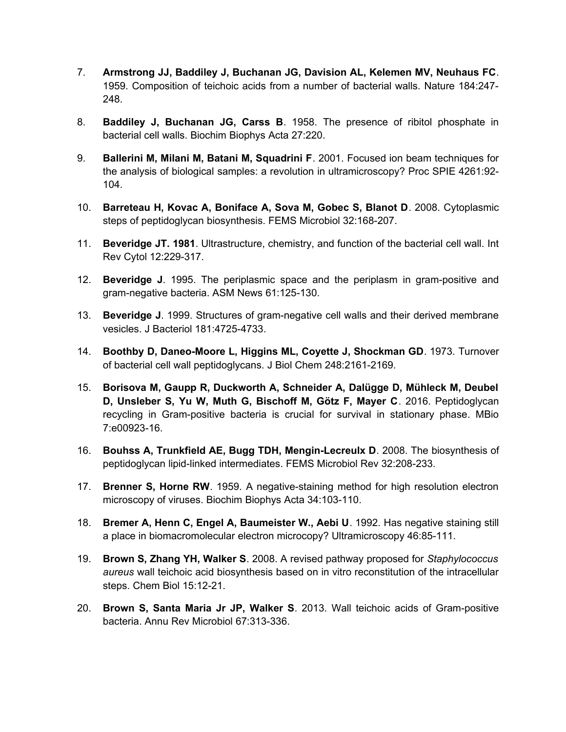- 7. **Armstrong JJ, Baddiley J, Buchanan JG, Davision AL, Kelemen MV, Neuhaus FC**. 1959. Composition of teichoic acids from a number of bacterial walls. Nature 184:247- 248.
- 8. **Baddiley J, Buchanan JG, Carss B**. 1958. The presence of ribitol phosphate in bacterial cell walls. Biochim Biophys Acta 27:220.
- 9. **Ballerini M, Milani M, Batani M, Squadrini F**. 2001. Focused ion beam techniques for the analysis of biological samples: a revolution in ultramicroscopy? Proc SPIE 4261:92- 104.
- 10. **Barreteau H, Kovac A, Boniface A, Sova M, Gobec S, Blanot D**. 2008. Cytoplasmic steps of peptidoglycan biosynthesis. FEMS Microbiol 32:168-207.
- 11. **Beveridge JT. 1981**. Ultrastructure, chemistry, and function of the bacterial cell wall. Int Rev Cytol 12:229-317.
- 12. **Beveridge J**. 1995. The periplasmic space and the periplasm in gram-positive and gram-negative bacteria. ASM News 61:125-130.
- 13. **Beveridge J**. 1999. Structures of gram-negative cell walls and their derived membrane vesicles. J Bacteriol 181:4725-4733.
- 14. **Boothby D, Daneo-Moore L, Higgins ML, Coyette J, Shockman GD**. 1973. Turnover of bacterial cell wall peptidoglycans. J Biol Chem 248:2161-2169.
- 15. **Borisova M, Gaupp R, Duckworth A, Schneider A, Dalügge D, Mühleck M, Deubel D, Unsleber S, Yu W, Muth G, Bischoff M, Götz F, Mayer C**. 2016. Peptidoglycan recycling in Gram-positive bacteria is crucial for survival in stationary phase. MBio 7:e00923-16.
- 16. **Bouhss A, Trunkfield AE, Bugg TDH, Mengin-Lecreulx D**. 2008. The biosynthesis of peptidoglycan lipid-linked intermediates. FEMS Microbiol Rev 32:208-233.
- 17. **Brenner S, Horne RW**. 1959. A negative-staining method for high resolution electron microscopy of viruses. Biochim Biophys Acta 34:103-110.
- 18. **Bremer A, Henn C, Engel A, Baumeister W., Aebi U**. 1992. Has negative staining still a place in biomacromolecular electron microcopy? Ultramicroscopy 46:85-111.
- 19. **Brown S, Zhang YH, Walker S**. 2008. A revised pathway proposed for *Staphylococcus aureus* wall teichoic acid biosynthesis based on in vitro reconstitution of the intracellular steps. Chem Biol 15:12-21.
- 20. **Brown S, Santa Maria Jr JP, Walker S**. 2013. Wall teichoic acids of Gram-positive bacteria. Annu Rev Microbiol 67:313-336.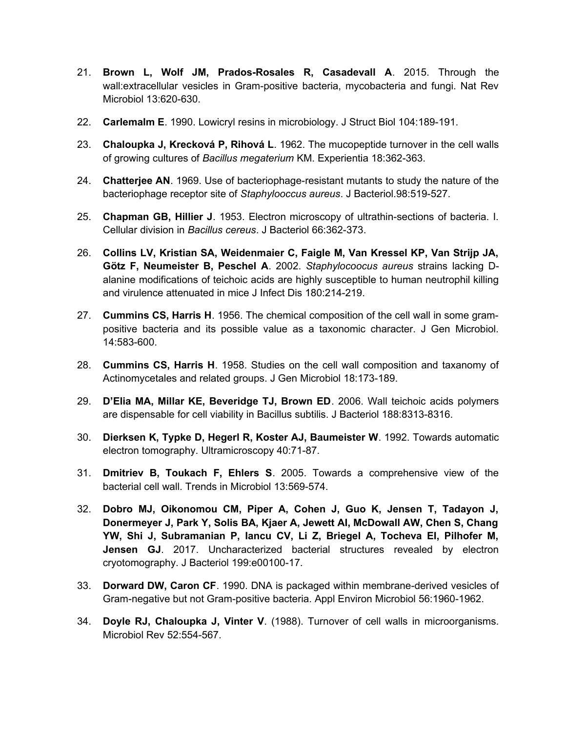- 21. **Brown L, Wolf JM, Prados-Rosales R, Casadevall A**. 2015. Through the wall:extracellular vesicles in Gram-positive bacteria, mycobacteria and fungi. Nat Rev Microbiol 13:620-630.
- 22. **Carlemalm E**. 1990. Lowicryl resins in microbiology. J Struct Biol 104:189-191.
- 23. **Chaloupka J, Krecková P, Rihová L**. 1962. The mucopeptide turnover in the cell walls of growing cultures of *Bacillus megaterium* KM. Experientia 18:362-363.
- 24. **Chatterjee AN**. 1969. Use of bacteriophage-resistant mutants to study the nature of the bacteriophage receptor site of *Staphylooccus aureus*. J Bacteriol.98:519-527.
- 25. **Chapman GB, Hillier J**. 1953. Electron microscopy of ultrathin-sections of bacteria. I. Cellular division in *Bacillus cereus*. J Bacteriol 66:362-373.
- 26. **Collins LV, Kristian SA, Weidenmaier C, Faigle M, Van Kressel KP, Van Strijp JA, Götz F, Neumeister B, Peschel A**. 2002. *Staphylocoocus aureus* strains lacking Dalanine modifications of teichoic acids are highly susceptible to human neutrophil killing and virulence attenuated in mice J Infect Dis 180:214-219.
- 27. **Cummins CS, Harris H**. 1956. The chemical composition of the cell wall in some grampositive bacteria and its possible value as a taxonomic character. J Gen Microbiol. 14:583-600.
- 28. **Cummins CS, Harris H**. 1958. Studies on the cell wall composition and taxanomy of Actinomycetales and related groups. J Gen Microbiol 18:173-189.
- 29. **D'Elia MA, Millar KE, Beveridge TJ, Brown ED**. 2006. Wall teichoic acids polymers are dispensable for cell viability in Bacillus subtilis. J Bacteriol 188:8313-8316.
- 30. **Dierksen K, Typke D, Hegerl R, Koster AJ, Baumeister W**. 1992. Towards automatic electron tomography. Ultramicroscopy 40:71-87.
- 31. **Dmitriev B, Toukach F, Ehlers S**. 2005. Towards a comprehensive view of the bacterial cell wall. Trends in Microbiol 13:569-574.
- 32. **Dobro MJ, Oikonomou CM, Piper A, Cohen J, Guo K, Jensen T, Tadayon J, Donermeyer J, Park Y, Solis BA, Kjaer A, Jewett AI, McDowall AW, Chen S, Chang YW, Shi J, Subramanian P, Iancu CV, Li Z, Briegel A, Tocheva EI, Pilhofer M, Jensen GJ**. 2017. Uncharacterized bacterial structures revealed by electron cryotomography. J Bacteriol 199:e00100-17.
- 33. **Dorward DW, Caron CF**. 1990. DNA is packaged within membrane-derived vesicles of Gram-negative but not Gram-positive bacteria. Appl Environ Microbiol 56:1960-1962.
- 34. **Doyle RJ, Chaloupka J, Vinter V**. (1988). Turnover of cell walls in microorganisms. Microbiol Rev 52:554-567.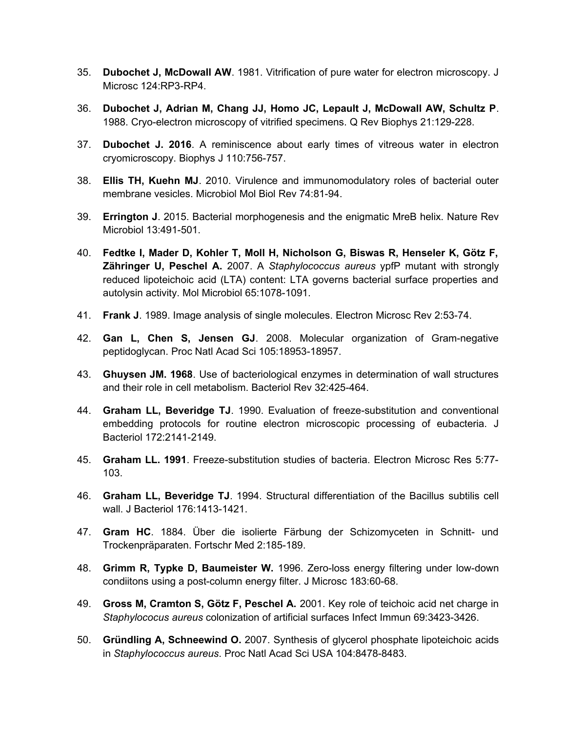- 35. **Dubochet J, McDowall AW**. 1981. Vitrification of pure water for electron microscopy. J Microsc 124:RP3-RP4.
- 36. **Dubochet J, Adrian M, Chang JJ, Homo JC, Lepault J, McDowall AW, Schultz P**. 1988. Cryo-electron microscopy of vitrified specimens. Q Rev Biophys 21:129-228.
- 37. **Dubochet J. 2016**. A reminiscence about early times of vitreous water in electron cryomicroscopy. Biophys J 110:756-757.
- 38. **Ellis TH, Kuehn MJ**. 2010. Virulence and immunomodulatory roles of bacterial outer membrane vesicles. Microbiol Mol Biol Rev 74:81-94.
- 39. **Errington J**. 2015. Bacterial morphogenesis and the enigmatic MreB helix. Nature Rev Microbiol 13:491-501.
- 40. **Fedtke I, Mader D, Kohler T, Moll H, Nicholson G, Biswas R, Henseler K, Götz F, Zähringer U, Peschel A.** 2007. A *Staphylococcus aureus* ypfP mutant with strongly reduced lipoteichoic acid (LTA) content: LTA governs bacterial surface properties and autolysin activity. Mol Microbiol 65:1078-1091.
- 41. **Frank J**. 1989. Image analysis of single molecules. Electron Microsc Rev 2:53-74.
- 42. **Gan L, Chen S, Jensen GJ**. 2008. Molecular organization of Gram-negative peptidoglycan. Proc Natl Acad Sci 105:18953-18957.
- 43. **Ghuysen JM. 1968**. Use of bacteriological enzymes in determination of wall structures and their role in cell metabolism. Bacteriol Rev 32:425-464.
- 44. **Graham LL, Beveridge TJ**. 1990. Evaluation of freeze-substitution and conventional embedding protocols for routine electron microscopic processing of eubacteria. J Bacteriol 172:2141-2149.
- 45. **Graham LL. 1991**. Freeze-substitution studies of bacteria. Electron Microsc Res 5:77- 103.
- 46. **Graham LL, Beveridge TJ**. 1994. Structural differentiation of the Bacillus subtilis cell wall. J Bacteriol 176:1413-1421.
- 47. **Gram HC**. 1884. Über die isolierte Färbung der Schizomyceten in Schnitt- und Trockenpräparaten. Fortschr Med 2:185-189.
- 48. **Grimm R, Typke D, Baumeister W.** 1996. Zero-loss energy filtering under low-down condiitons using a post-column energy filter. J Microsc 183:60-68.
- 49. **Gross M, Cramton S, Götz F, Peschel A.** 2001. Key role of teichoic acid net charge in *Staphylococus aureus* colonization of artificial surfaces Infect Immun 69:3423-3426.
- 50. **Gründling A, Schneewind O.** 2007. Synthesis of glycerol phosphate lipoteichoic acids in *Staphylococcus aureus*. Proc Natl Acad Sci USA 104:8478-8483.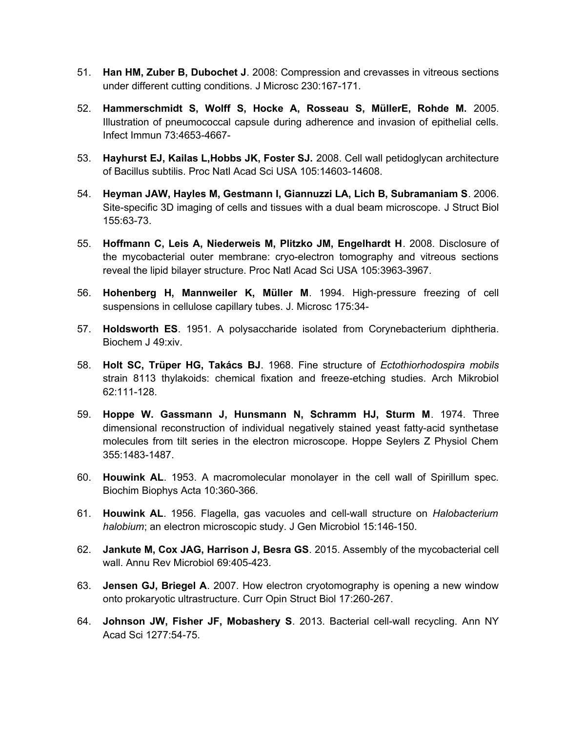- 51. **Han HM, Zuber B, Dubochet J**. 2008: Compression and crevasses in vitreous sections under different cutting conditions. J Microsc 230:167-171.
- 52. **Hammerschmidt S, Wolff S, Hocke A, Rosseau S, MüllerE, Rohde M.** 2005. Illustration of pneumococcal capsule during adherence and invasion of epithelial cells. Infect Immun 73:4653-4667-
- 53. **Hayhurst EJ, Kailas L,Hobbs JK, Foster SJ.** 2008. Cell wall petidoglycan architecture of Bacillus subtilis. Proc Natl Acad Sci USA 105:14603-14608.
- 54. **Heyman JAW, Hayles M, Gestmann I, Giannuzzi LA, Lich B, Subramaniam S**. 2006. Site-specific 3D imaging of cells and tissues with a dual beam microscope. J Struct Biol 155:63-73.
- 55. **Hoffmann C, Leis A, Niederweis M, Plitzko JM, Engelhardt H**. 2008. Disclosure of the mycobacterial outer membrane: cryo-electron tomography and vitreous sections reveal the lipid bilayer structure. Proc Natl Acad Sci USA 105:3963-3967.
- 56. **Hohenberg H, Mannweiler K, Müller M**. 1994. High-pressure freezing of cell suspensions in cellulose capillary tubes. J. Microsc 175:34-
- 57. **Holdsworth ES**. 1951. A polysaccharide isolated from Corynebacterium diphtheria. Biochem J 49:xiv.
- 58. **Holt SC, Trüper HG, Takács BJ**. 1968. Fine structure of *Ectothiorhodospira mobils* strain 8113 thylakoids: chemical fixation and freeze-etching studies. Arch Mikrobiol 62:111-128.
- 59. **Hoppe W. Gassmann J, Hunsmann N, Schramm HJ, Sturm M**. 1974. Three dimensional reconstruction of individual negatively stained yeast fatty-acid synthetase molecules from tilt series in the electron microscope. Hoppe Seylers Z Physiol Chem 355:1483-1487.
- 60. **Houwink AL**. 1953. A macromolecular monolayer in the cell wall of Spirillum spec. Biochim Biophys Acta 10:360-366.
- 61. **Houwink AL**. 1956. Flagella, gas vacuoles and cell-wall structure on *Halobacterium halobium*; an electron microscopic study. J Gen Microbiol 15:146-150.
- 62. **Jankute M, Cox JAG, Harrison J, Besra GS**. 2015. Assembly of the mycobacterial cell wall. Annu Rev Microbiol 69:405-423.
- 63. **Jensen GJ, Briegel A**. 2007. How electron cryotomography is opening a new window onto prokaryotic ultrastructure. Curr Opin Struct Biol 17:260-267.
- 64. **Johnson JW, Fisher JF, Mobashery S**. 2013. Bacterial cell-wall recycling. Ann NY Acad Sci 1277:54-75.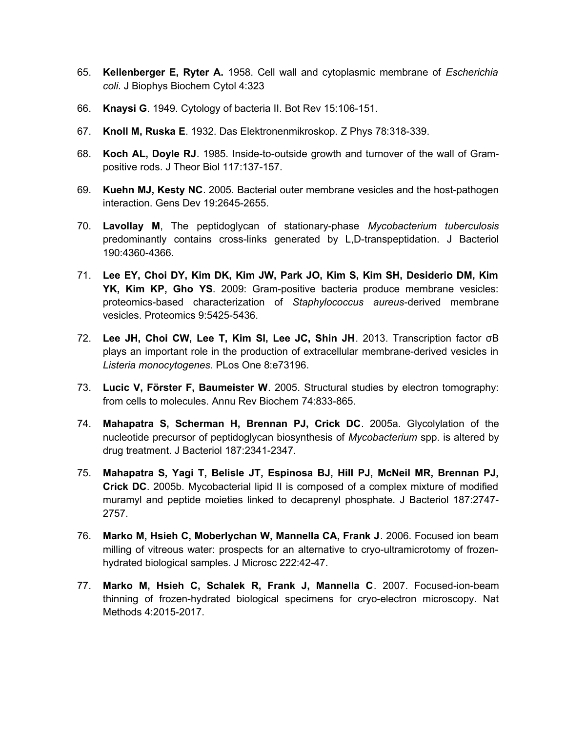- 65. **Kellenberger E, Ryter A.** 1958. Cell wall and cytoplasmic membrane of *Escherichia coli*. J Biophys Biochem Cytol 4:323
- 66. **Knaysi G**. 1949. Cytology of bacteria II. Bot Rev 15:106-151.
- 67. **Knoll M, Ruska E**. 1932. Das Elektronenmikroskop. Z Phys 78:318-339.
- 68. **Koch AL, Doyle RJ**. 1985. Inside-to-outside growth and turnover of the wall of Grampositive rods. J Theor Biol 117:137-157.
- 69. **Kuehn MJ, Kesty NC**. 2005. Bacterial outer membrane vesicles and the host-pathogen interaction. Gens Dev 19:2645-2655.
- 70. **Lavollay M**, The peptidoglycan of stationary-phase *Mycobacterium tuberculosis* predominantly contains cross-links generated by L,D-transpeptidation. J Bacteriol 190:4360-4366.
- 71. **Lee EY, Choi DY, Kim DK, Kim JW, Park JO, Kim S, Kim SH, Desiderio DM, Kim YK, Kim KP, Gho YS**. 2009: Gram-positive bacteria produce membrane vesicles: proteomics-based characterization of *Staphylococcus aureus*-derived membrane vesicles. Proteomics 9:5425-5436.
- 72. **Lee JH, Choi CW, Lee T, Kim SI, Lee JC, Shin JH**. 2013. Transcription factor σB plays an important role in the production of extracellular membrane-derived vesicles in *Listeria monocytogenes*. PLos One 8:e73196.
- 73. **Lucic V, Förster F, Baumeister W**. 2005. Structural studies by electron tomography: from cells to molecules. Annu Rev Biochem 74:833-865.
- 74. **Mahapatra S, Scherman H, Brennan PJ, Crick DC**. 2005a. Glycolylation of the nucleotide precursor of peptidoglycan biosynthesis of *Mycobacterium* spp. is altered by drug treatment. J Bacteriol 187:2341-2347.
- 75. **Mahapatra S, Yagi T, Belisle JT, Espinosa BJ, Hill PJ, McNeil MR, Brennan PJ, Crick DC**. 2005b. Mycobacterial lipid II is composed of a complex mixture of modified muramyl and peptide moieties linked to decaprenyl phosphate. J Bacteriol 187:2747- 2757.
- 76. **Marko M, Hsieh C, Moberlychan W, Mannella CA, Frank J**. 2006. Focused ion beam milling of vitreous water: prospects for an alternative to cryo-ultramicrotomy of frozenhydrated biological samples. J Microsc 222:42-47.
- 77. **Marko M, Hsieh C, Schalek R, Frank J, Mannella C**. 2007. Focused-ion-beam thinning of frozen-hydrated biological specimens for cryo-electron microscopy. Nat Methods 4:2015-2017.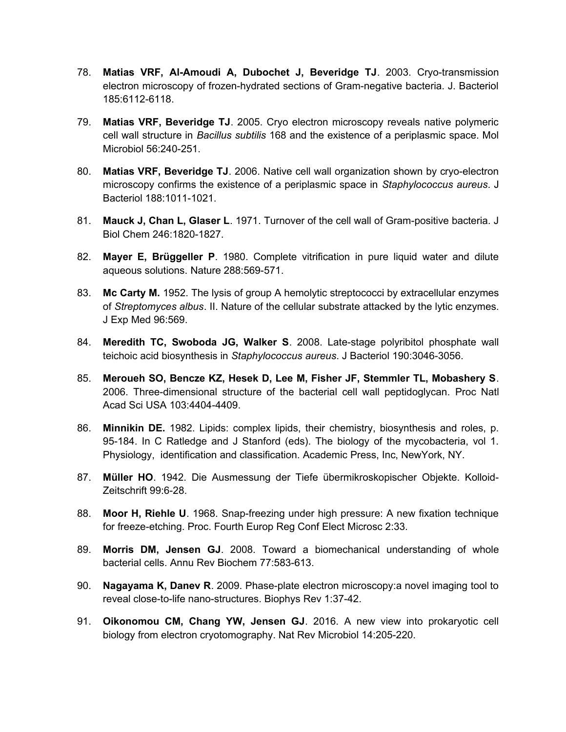- 78. **Matias VRF, Al-Amoudi A, Dubochet J, Beveridge TJ**. 2003. Cryo-transmission electron microscopy of frozen-hydrated sections of Gram-negative bacteria. J. Bacteriol 185:6112-6118.
- 79. **Matias VRF, Beveridge TJ**. 2005. Cryo electron microscopy reveals native polymeric cell wall structure in *Bacillus subtilis* 168 and the existence of a periplasmic space. Mol Microbiol 56:240-251.
- 80. **Matias VRF, Beveridge TJ**. 2006. Native cell wall organization shown by cryo-electron microscopy confirms the existence of a periplasmic space in *Staphylococcus aureus*. J Bacteriol 188:1011-1021.
- 81. **Mauck J, Chan L, Glaser L**. 1971. Turnover of the cell wall of Gram-positive bacteria. J Biol Chem 246:1820-1827.
- 82. **Mayer E, Brüggeller P**. 1980. Complete vitrification in pure liquid water and dilute aqueous solutions. Nature 288:569-571.
- 83. **Mc Carty M.** 1952. The lysis of group A hemolytic streptococci by extracellular enzymes of *Streptomyces albus*. II. Nature of the cellular substrate attacked by the lytic enzymes. J Exp Med 96:569.
- 84. **Meredith TC, Swoboda JG, Walker S**. 2008. Late-stage polyribitol phosphate wall teichoic acid biosynthesis in *Staphylococcus aureus*. J Bacteriol 190:3046-3056.
- 85. **Meroueh SO, Bencze KZ, Hesek D, Lee M, Fisher JF, Stemmler TL, Mobashery S**. 2006. Three-dimensional structure of the bacterial cell wall peptidoglycan. Proc Natl Acad Sci USA 103:4404-4409.
- 86. **Minnikin DE.** 1982. Lipids: complex lipids, their chemistry, biosynthesis and roles, p. 95-184. In C Ratledge and J Stanford (eds). The biology of the mycobacteria, vol 1. Physiology, identification and classification. Academic Press, Inc, NewYork, NY.
- 87. **Müller HO**. 1942. Die Ausmessung der Tiefe übermikroskopischer Objekte. Kolloid-Zeitschrift 99:6-28.
- 88. **Moor H, Riehle U**. 1968. Snap-freezing under high pressure: A new fixation technique for freeze-etching. Proc. Fourth Europ Reg Conf Elect Microsc 2:33.
- 89. **Morris DM, Jensen GJ**. 2008. Toward a biomechanical understanding of whole bacterial cells. Annu Rev Biochem 77:583-613.
- 90. **Nagayama K, Danev R**. 2009. Phase-plate electron microscopy:a novel imaging tool to reveal close-to-life nano-structures. Biophys Rev 1:37-42.
- 91. **Oikonomou CM, Chang YW, Jensen GJ**. 2016. A new view into prokaryotic cell biology from electron cryotomography. Nat Rev Microbiol 14:205-220.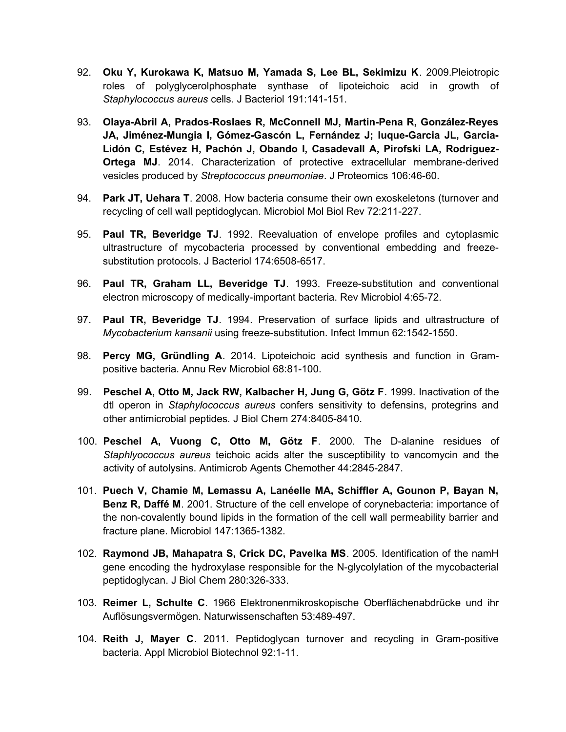- 92. **Oku Y, Kurokawa K, Matsuo M, Yamada S, Lee BL, Sekimizu K**. 2009.Pleiotropic roles of polyglycerolphosphate synthase of lipoteichoic acid in growth of *Staphylococcus aureus* cells. J Bacteriol 191:141-151.
- 93. **Olaya-Abril A, Prados-Roslaes R, McConnell MJ, Martin-Pena R, González-Reyes JA, Jiménez-Mungia I, Gómez-Gascón L, Fernández J; luque-Garcia JL, Garcia-Lidón C, Estévez H, Pachón J, Obando I, Casadevall A, Pirofski LA, Rodriguez-Ortega MJ**. 2014. Characterization of protective extracellular membrane-derived vesicles produced by *Streptococcus pneumoniae*. J Proteomics 106:46-60.
- 94. **Park JT, Uehara T**. 2008. How bacteria consume their own exoskeletons (turnover and recycling of cell wall peptidoglycan. Microbiol Mol Biol Rev 72:211-227.
- 95. **Paul TR, Beveridge TJ**. 1992. Reevaluation of envelope profiles and cytoplasmic ultrastructure of mycobacteria processed by conventional embedding and freezesubstitution protocols. J Bacteriol 174:6508-6517.
- 96. **Paul TR, Graham LL, Beveridge TJ**. 1993. Freeze-substitution and conventional electron microscopy of medically-important bacteria. Rev Microbiol 4:65-72.
- 97. **Paul TR, Beveridge TJ**. 1994. Preservation of surface lipids and ultrastructure of *Mycobacterium kansanii* using freeze-substitution. Infect Immun 62:1542-1550.
- 98. **Percy MG, Gründling A**. 2014. Lipoteichoic acid synthesis and function in Grampositive bacteria. Annu Rev Microbiol 68:81-100.
- 99. **Peschel A, Otto M, Jack RW, Kalbacher H, Jung G, Götz F**. 1999. Inactivation of the dtl operon in *Staphylococcus aureus* confers sensitivity to defensins, protegrins and other antimicrobial peptides. J Biol Chem 274:8405-8410.
- 100. **Peschel A, Vuong C, Otto M, Götz F**. 2000. The D-alanine residues of *Staphlyococcus aureus* teichoic acids alter the susceptibility to vancomycin and the activity of autolysins. Antimicrob Agents Chemother 44:2845-2847.
- 101. **Puech V, Chamie M, Lemassu A, Lanéelle MA, Schiffler A, Gounon P, Bayan N, Benz R, Daffé M**. 2001. Structure of the cell envelope of corynebacteria: importance of the non-covalently bound lipids in the formation of the cell wall permeability barrier and fracture plane. Microbiol 147:1365-1382.
- 102. **Raymond JB, Mahapatra S, Crick DC, Pavelka MS**. 2005. Identification of the namH gene encoding the hydroxylase responsible for the N-glycolylation of the mycobacterial peptidoglycan. J Biol Chem 280:326-333.
- 103. **Reimer L, Schulte C**. 1966 Elektronenmikroskopische Oberflächenabdrücke und ihr Auflösungsvermögen. Naturwissenschaften 53:489-497.
- 104. **Reith J, Mayer C**. 2011. Peptidoglycan turnover and recycling in Gram-positive bacteria. Appl Microbiol Biotechnol 92:1-11.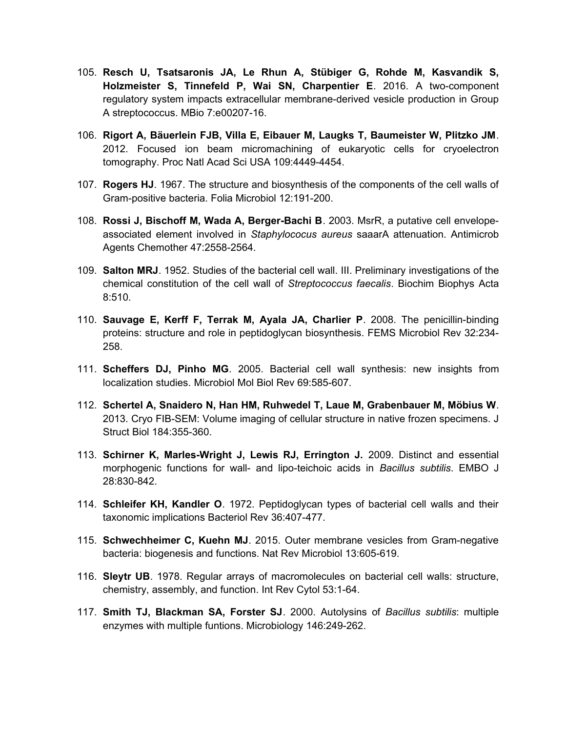- 105. **Resch U, Tsatsaronis JA, Le Rhun A, Stübiger G, Rohde M, Kasvandik S, Holzmeister S, Tinnefeld P, Wai SN, Charpentier E**. 2016. A two-component regulatory system impacts extracellular membrane-derived vesicle production in Group A streptococcus. MBio 7:e00207-16.
- 106. **Rigort A, Bäuerlein FJB, Villa E, Eibauer M, Laugks T, Baumeister W, Plitzko JM**. 2012. Focused ion beam micromachining of eukaryotic cells for cryoelectron tomography. Proc Natl Acad Sci USA 109:4449-4454.
- 107. **Rogers HJ**. 1967. The structure and biosynthesis of the components of the cell walls of Gram-positive bacteria. Folia Microbiol 12:191-200.
- 108. **Rossi J, Bischoff M, Wada A, Berger-Bachi B**. 2003. MsrR, a putative cell envelopeassociated element involved in *Staphylococus aureus* saaarA attenuation. Antimicrob Agents Chemother 47:2558-2564.
- 109. **Salton MRJ**. 1952. Studies of the bacterial cell wall. III. Preliminary investigations of the chemical constitution of the cell wall of *Streptococcus faecalis*. Biochim Biophys Acta 8:510.
- 110. **Sauvage E, Kerff F, Terrak M, Ayala JA, Charlier P**. 2008. The penicillin-binding proteins: structure and role in peptidoglycan biosynthesis. FEMS Microbiol Rev 32:234- 258.
- 111. **Scheffers DJ, Pinho MG**. 2005. Bacterial cell wall synthesis: new insights from localization studies. Microbiol Mol Biol Rev 69:585-607.
- 112. **Schertel A, Snaidero N, Han HM, Ruhwedel T, Laue M, Grabenbauer M, Möbius W**. 2013. Cryo FIB-SEM: Volume imaging of cellular structure in native frozen specimens. J Struct Biol 184:355-360.
- 113. **Schirner K, Marles-Wright J, Lewis RJ, Errington J.** 2009. Distinct and essential morphogenic functions for wall- and lipo-teichoic acids in *Bacillus subtilis*. EMBO J 28:830-842.
- 114. **Schleifer KH, Kandler O**. 1972. Peptidoglycan types of bacterial cell walls and their taxonomic implications Bacteriol Rev 36:407-477.
- 115. **Schwechheimer C, Kuehn MJ**. 2015. Outer membrane vesicles from Gram-negative bacteria: biogenesis and functions. Nat Rev Microbiol 13:605-619.
- 116. **Sleytr UB**. 1978. Regular arrays of macromolecules on bacterial cell walls: structure, chemistry, assembly, and function. Int Rev Cytol 53:1-64.
- 117. **Smith TJ, Blackman SA, Forster SJ**. 2000. Autolysins of *Bacillus subtilis*: multiple enzymes with multiple funtions. Microbiology 146:249-262.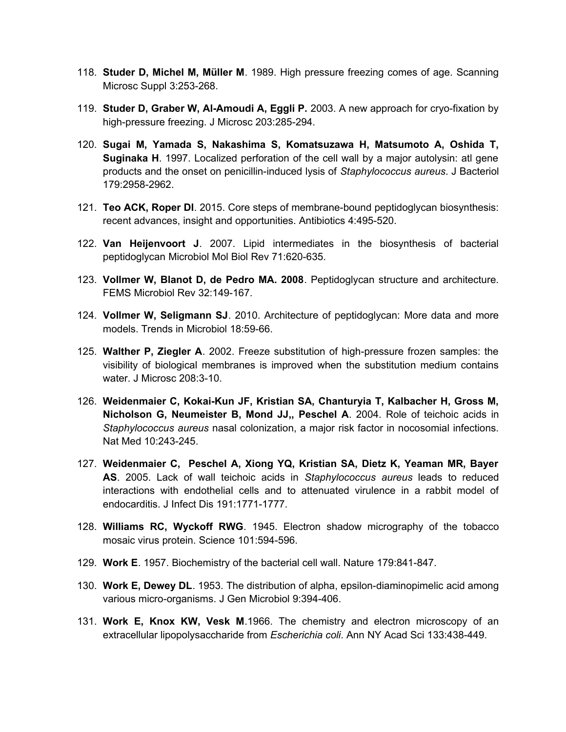- 118. **Studer D, Michel M, Müller M**. 1989. High pressure freezing comes of age. Scanning Microsc Suppl 3:253-268.
- 119. **Studer D, Graber W, Al-Amoudi A, Eggli P.** 2003. A new approach for cryo-fixation by high-pressure freezing. J Microsc 203:285-294.
- 120. **Sugai M, Yamada S, Nakashima S, Komatsuzawa H, Matsumoto A, Oshida T, Suginaka H**. 1997. Localized perforation of the cell wall by a major autolysin: atl gene products and the onset on penicillin-induced lysis of *Staphylococcus aureus*. J Bacteriol 179:2958-2962.
- 121. **Teo ACK, Roper DI**. 2015. Core steps of membrane-bound peptidoglycan biosynthesis: recent advances, insight and opportunities. Antibiotics 4:495-520.
- 122. **Van Heijenvoort J**. 2007. Lipid intermediates in the biosynthesis of bacterial peptidoglycan Microbiol Mol Biol Rev 71:620-635.
- 123. **Vollmer W, Blanot D, de Pedro MA. 2008**. Peptidoglycan structure and architecture. FEMS Microbiol Rev 32:149-167.
- 124. **Vollmer W, Seligmann SJ**. 2010. Architecture of peptidoglycan: More data and more models. Trends in Microbiol 18:59-66.
- 125. **Walther P, Ziegler A**. 2002. Freeze substitution of high-pressure frozen samples: the visibility of biological membranes is improved when the substitution medium contains water. J Microsc 208:3-10.
- 126. **Weidenmaier C, Kokai-Kun JF, Kristian SA, Chanturyia T, Kalbacher H, Gross M, Nicholson G, Neumeister B, Mond JJ,, Peschel A**. 2004. Role of teichoic acids in *Staphylococcus aureus* nasal colonization, a major risk factor in nocosomial infections. Nat Med 10:243-245.
- 127. **Weidenmaier C, Peschel A, Xiong YQ, Kristian SA, Dietz K, Yeaman MR, Bayer AS**. 2005. Lack of wall teichoic acids in *Staphylococcus aureus* leads to reduced interactions with endothelial cells and to attenuated virulence in a rabbit model of endocarditis. J Infect Dis 191:1771-1777.
- 128. **Williams RC, Wyckoff RWG**. 1945. Electron shadow micrography of the tobacco mosaic virus protein. Science 101:594-596.
- 129. **Work E**. 1957. Biochemistry of the bacterial cell wall. Nature 179:841-847.
- 130. **Work E, Dewey DL**. 1953. The distribution of alpha, epsilon-diaminopimelic acid among various micro-organisms. J Gen Microbiol 9:394-406.
- 131. **Work E, Knox KW, Vesk M**.1966. The chemistry and electron microscopy of an extracellular lipopolysaccharide from *Escherichia coli*. Ann NY Acad Sci 133:438-449.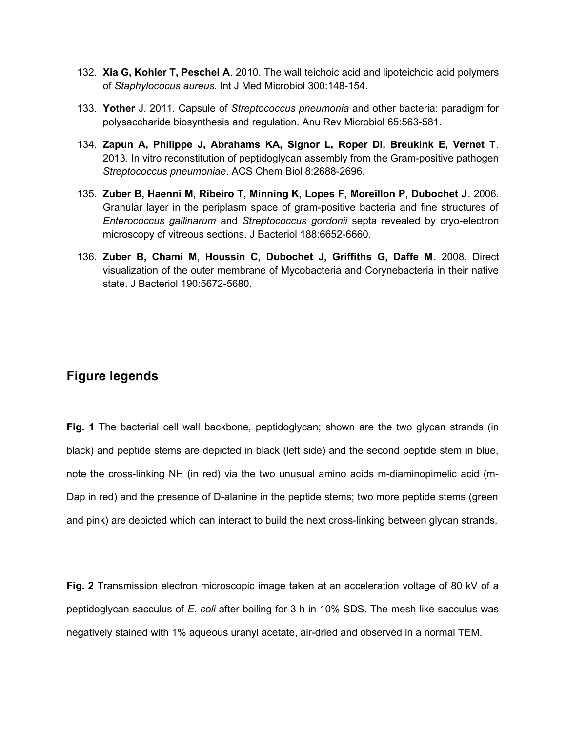- 132. **Xia G, Kohler T, Peschel A**. 2010. The wall teichoic acid and lipoteichoic acid polymers of *Staphylococus aureus*. Int J Med Microbiol 300:148-154.
- 133. **Yother** J. 2011. Capsule of *Streptococcus pneumonia* and other bacteria: paradigm for polysaccharide biosynthesis and regulation. Anu Rev Microbiol 65:563-581.
- 134. **Zapun A, Philippe J, Abrahams KA, Signor L, Roper DI, Breukink E, Vernet T**. 2013. In vitro reconstitution of peptidoglycan assembly from the Gram-positive pathogen *Streptococcus pneumoniae*. ACS Chem Biol 8:2688-2696.
- 135. **Zuber B, Haenni M, Ribeiro T, Minning K, Lopes F, Moreillon P, Dubochet J**. 2006. Granular layer in the periplasm space of gram-positive bacteria and fine structures of *Enterococcus gallinarum* and *Streptococcus gordonii* septa revealed by cryo-electron microscopy of vitreous sections. J Bacteriol 188:6652-6660.
- 136. **Zuber B, Chami M, Houssin C, Dubochet J, Griffiths G, Daffe M**. 2008. Direct visualization of the outer membrane of Mycobacteria and Corynebacteria in their native state. J Bacteriol 190:5672-5680.

### **Figure legends**

**Fig. 1** The bacterial cell wall backbone, peptidoglycan; shown are the two glycan strands (in black) and peptide stems are depicted in black (left side) and the second peptide stem in blue, note the cross-linking NH (in red) via the two unusual amino acids m-diaminopimelic acid (m-Dap in red) and the presence of D-alanine in the peptide stems; two more peptide stems (green and pink) are depicted which can interact to build the next cross-linking between glycan strands.

**Fig. 2** Transmission electron microscopic image taken at an acceleration voltage of 80 kV of a peptidoglycan sacculus of *E. coli* after boiling for 3 h in 10% SDS. The mesh like sacculus was negatively stained with 1% aqueous uranyl acetate, air-dried and observed in a normal TEM.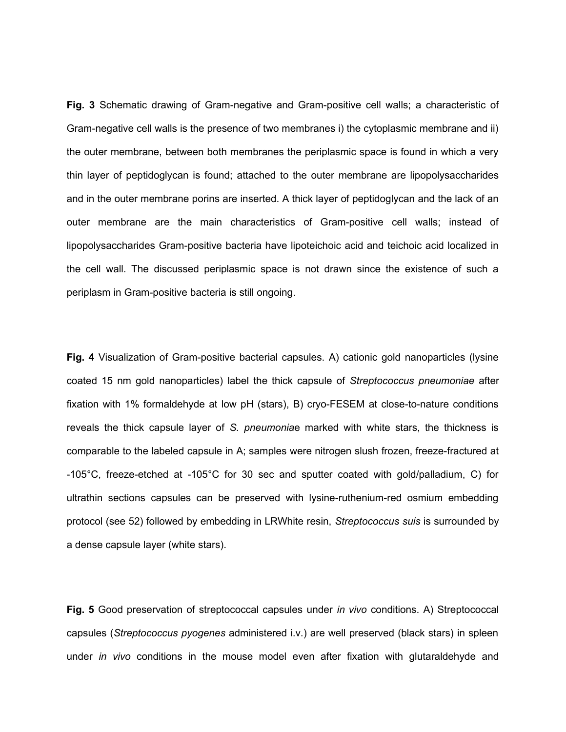**Fig. 3** Schematic drawing of Gram-negative and Gram-positive cell walls; a characteristic of Gram-negative cell walls is the presence of two membranes i) the cytoplasmic membrane and ii) the outer membrane, between both membranes the periplasmic space is found in which a very thin layer of peptidoglycan is found; attached to the outer membrane are lipopolysaccharides and in the outer membrane porins are inserted. A thick layer of peptidoglycan and the lack of an outer membrane are the main characteristics of Gram-positive cell walls; instead of lipopolysaccharides Gram-positive bacteria have lipoteichoic acid and teichoic acid localized in the cell wall. The discussed periplasmic space is not drawn since the existence of such a periplasm in Gram-positive bacteria is still ongoing.

**Fig. 4** Visualization of Gram-positive bacterial capsules. A) cationic gold nanoparticles (lysine coated 15 nm gold nanoparticles) label the thick capsule of *Streptococcus pneumoniae* after fixation with 1% formaldehyde at low pH (stars), B) cryo-FESEM at close-to-nature conditions reveals the thick capsule layer of *S. pneumonia*e marked with white stars, the thickness is comparable to the labeled capsule in A; samples were nitrogen slush frozen, freeze-fractured at -105°C, freeze-etched at -105°C for 30 sec and sputter coated with gold/palladium, C) for ultrathin sections capsules can be preserved with lysine-ruthenium-red osmium embedding protocol (see 52) followed by embedding in LRWhite resin, *Streptococcus suis* is surrounded by a dense capsule layer (white stars).

**Fig. 5** Good preservation of streptococcal capsules under *in vivo* conditions. A) Streptococcal capsules (*Streptococcus pyogenes* administered i.v.) are well preserved (black stars) in spleen under *in vivo* conditions in the mouse model even after fixation with glutaraldehyde and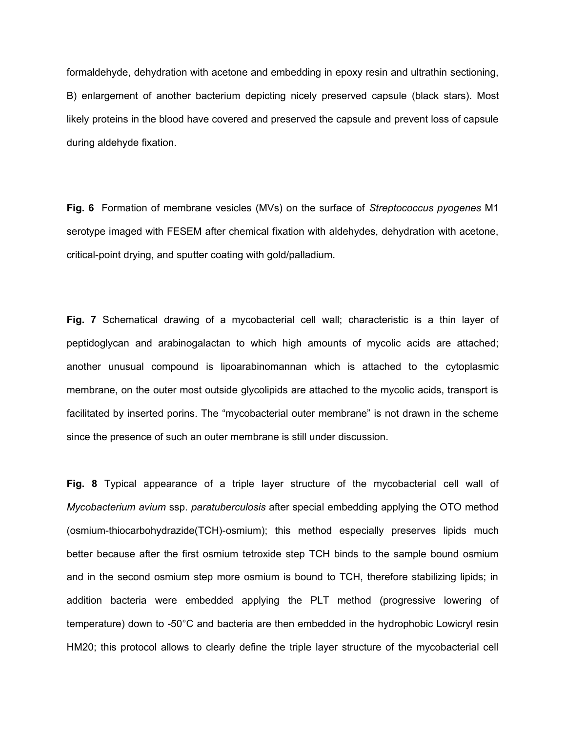formaldehyde, dehydration with acetone and embedding in epoxy resin and ultrathin sectioning, B) enlargement of another bacterium depicting nicely preserved capsule (black stars). Most likely proteins in the blood have covered and preserved the capsule and prevent loss of capsule during aldehyde fixation.

**Fig. 6** Formation of membrane vesicles (MVs) on the surface of *Streptococcus pyogenes* M1 serotype imaged with FESEM after chemical fixation with aldehydes, dehydration with acetone, critical-point drying, and sputter coating with gold/palladium.

**Fig. 7** Schematical drawing of a mycobacterial cell wall; characteristic is a thin layer of peptidoglycan and arabinogalactan to which high amounts of mycolic acids are attached; another unusual compound is lipoarabinomannan which is attached to the cytoplasmic membrane, on the outer most outside glycolipids are attached to the mycolic acids, transport is facilitated by inserted porins. The "mycobacterial outer membrane" is not drawn in the scheme since the presence of such an outer membrane is still under discussion.

**Fig. 8** Typical appearance of a triple layer structure of the mycobacterial cell wall of *Mycobacterium avium* ssp. *paratuberculosis* after special embedding applying the OTO method (osmium-thiocarbohydrazide(TCH)-osmium); this method especially preserves lipids much better because after the first osmium tetroxide step TCH binds to the sample bound osmium and in the second osmium step more osmium is bound to TCH, therefore stabilizing lipids; in addition bacteria were embedded applying the PLT method (progressive lowering of temperature) down to -50°C and bacteria are then embedded in the hydrophobic Lowicryl resin HM20; this protocol allows to clearly define the triple layer structure of the mycobacterial cell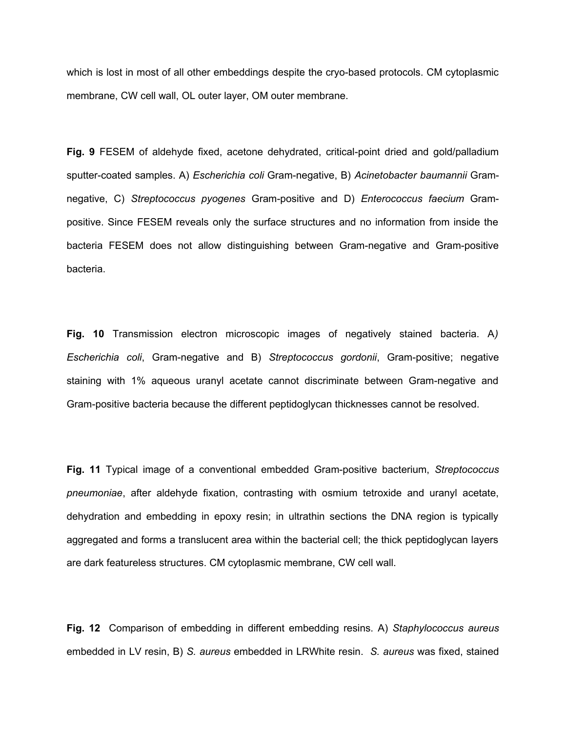which is lost in most of all other embeddings despite the cryo-based protocols. CM cytoplasmic membrane, CW cell wall, OL outer layer, OM outer membrane.

**Fig. 9** FESEM of aldehyde fixed, acetone dehydrated, critical-point dried and gold/palladium sputter-coated samples. A) *Escherichia coli* Gram-negative, B) *Acinetobacter baumannii* Gramnegative, C) *Streptococcus pyogenes* Gram-positive and D) *Enterococcus faecium* Grampositive. Since FESEM reveals only the surface structures and no information from inside the bacteria FESEM does not allow distinguishing between Gram-negative and Gram-positive bacteria.

**Fig. 10** Transmission electron microscopic images of negatively stained bacteria. A*) Escherichia coli*, Gram-negative and B) *Streptococcus gordonii*, Gram-positive; negative staining with 1% aqueous uranyl acetate cannot discriminate between Gram-negative and Gram-positive bacteria because the different peptidoglycan thicknesses cannot be resolved.

**Fig. 11** Typical image of a conventional embedded Gram-positive bacterium, *Streptococcus pneumoniae*, after aldehyde fixation, contrasting with osmium tetroxide and uranyl acetate, dehydration and embedding in epoxy resin; in ultrathin sections the DNA region is typically aggregated and forms a translucent area within the bacterial cell; the thick peptidoglycan layers are dark featureless structures. CM cytoplasmic membrane, CW cell wall.

**Fig. 12** Comparison of embedding in different embedding resins. A) *Staphylococcus aureus* embedded in LV resin, B) *S. aureus* embedded in LRWhite resin. *S. aureus* was fixed, stained